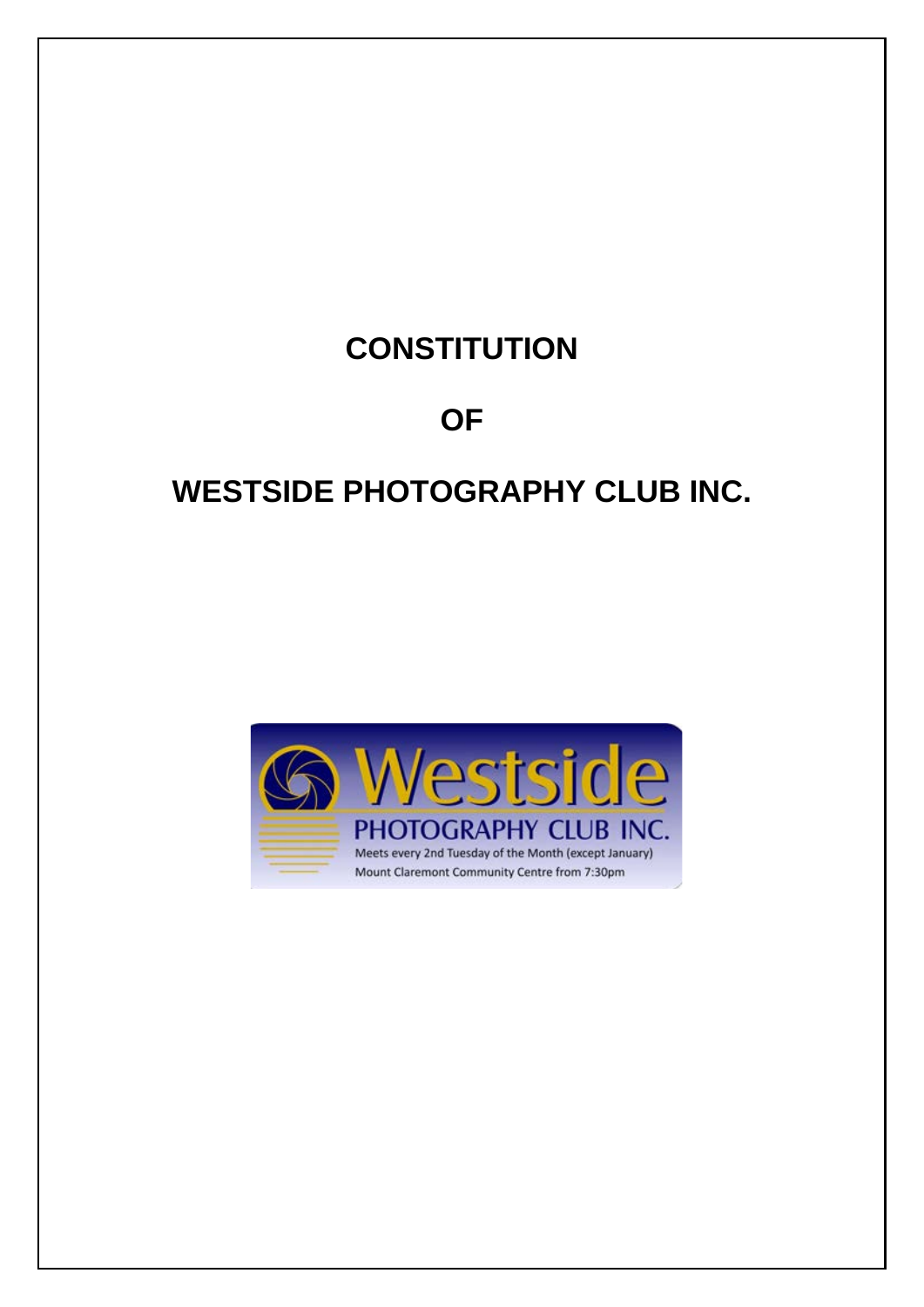# **CONSTITUTION**

# **OF**

# **WESTSIDE PHOTOGRAPHY CLUB INC.**

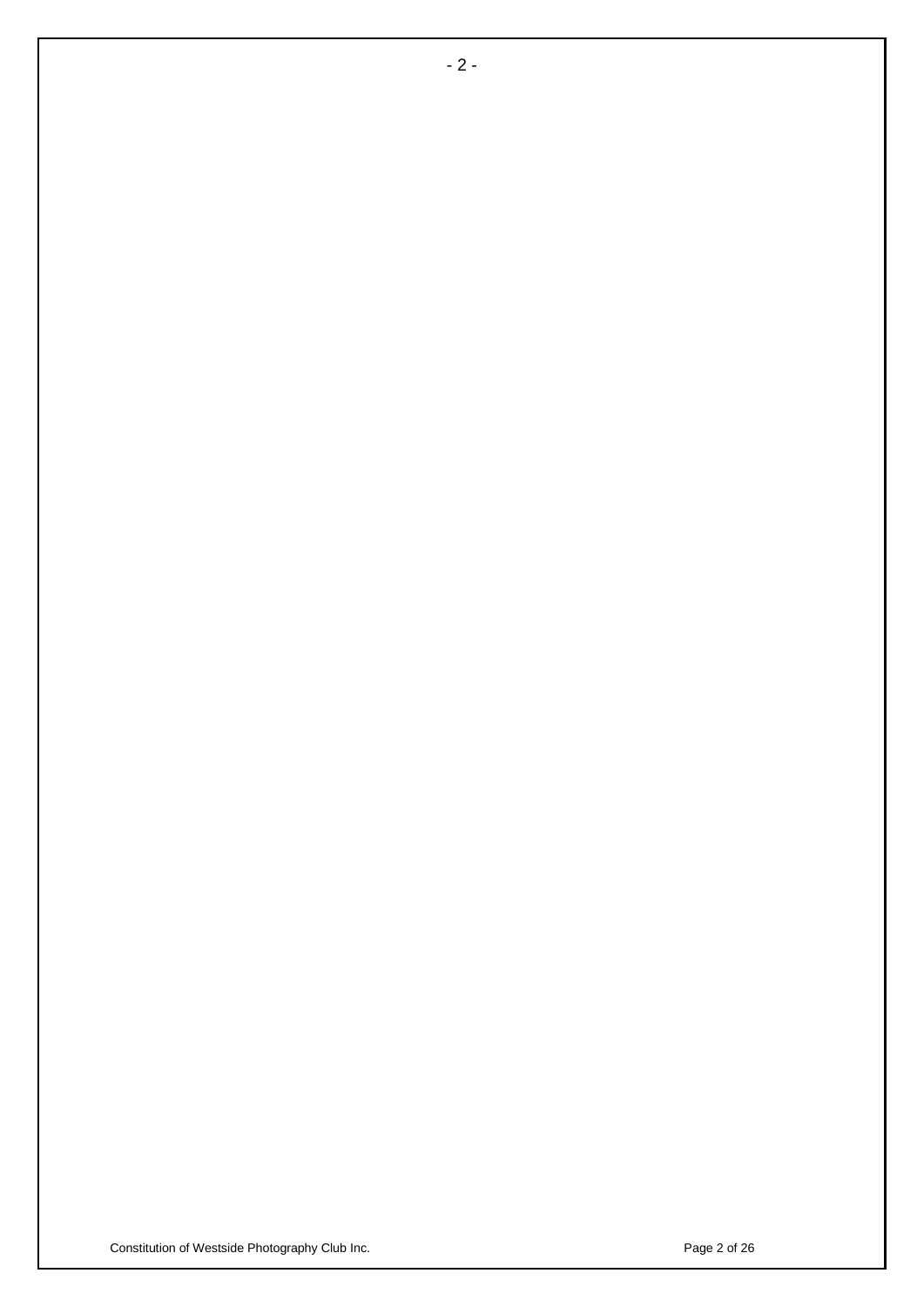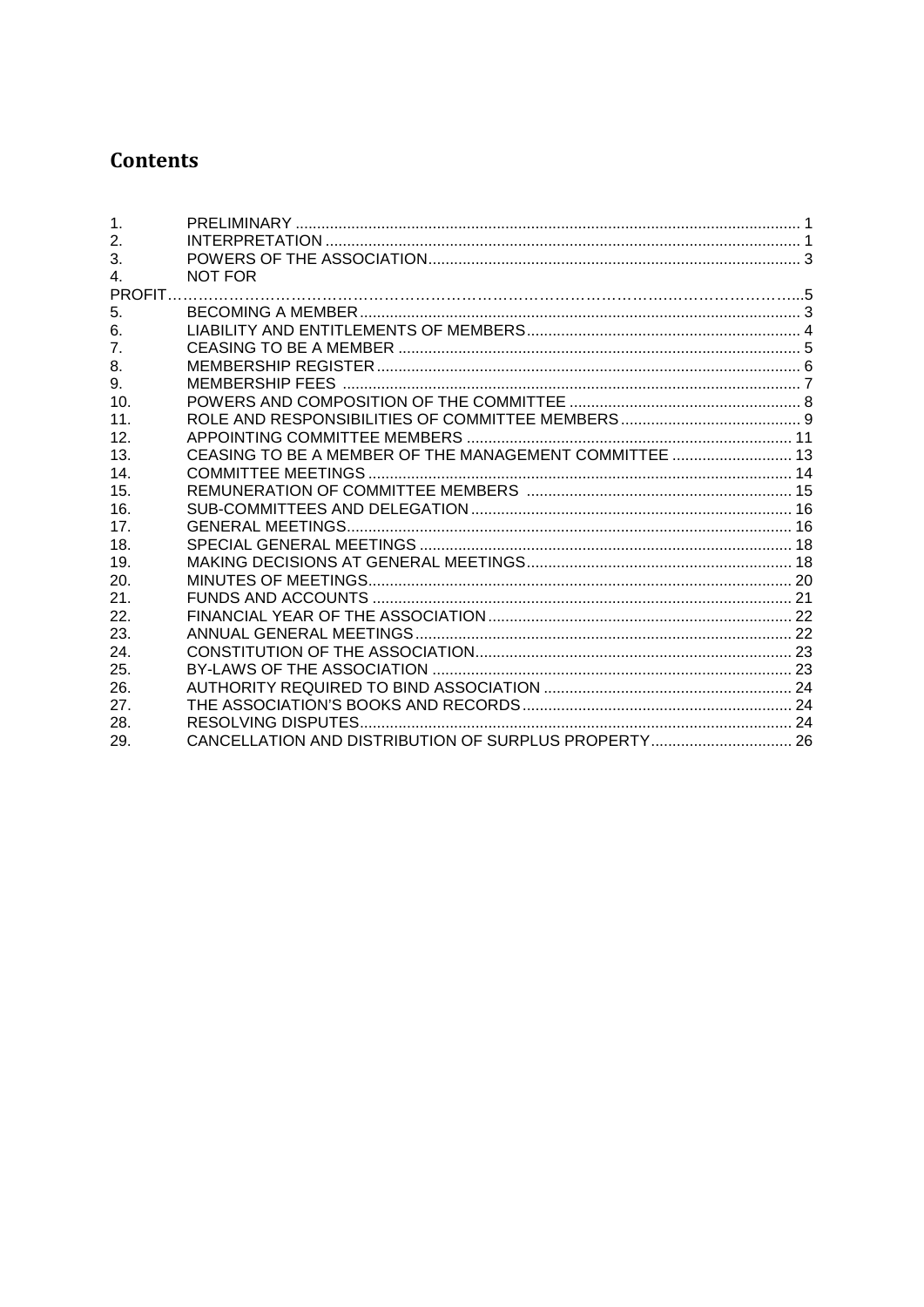# **Contents**

| 1.      |                                                        |  |
|---------|--------------------------------------------------------|--|
| 2.      |                                                        |  |
| 3.      |                                                        |  |
| 4.      | NOT FOR                                                |  |
| PROFIT. |                                                        |  |
| 5.      |                                                        |  |
| 6.      |                                                        |  |
| 7.      |                                                        |  |
| 8.      |                                                        |  |
| 9.      |                                                        |  |
| 10.     |                                                        |  |
| 11.     |                                                        |  |
| 12.     |                                                        |  |
| 13.     | CEASING TO BE A MEMBER OF THE MANAGEMENT COMMITTEE  13 |  |
| 14.     |                                                        |  |
| 15.     |                                                        |  |
| 16.     |                                                        |  |
| 17.     |                                                        |  |
| 18.     |                                                        |  |
| 19.     |                                                        |  |
| 20.     |                                                        |  |
| 21.     |                                                        |  |
| 22.     |                                                        |  |
| 23.     |                                                        |  |
| 24.     |                                                        |  |
| 25.     |                                                        |  |
| 26.     |                                                        |  |
| 27.     |                                                        |  |
| 28.     |                                                        |  |
| 29.     | CANCELLATION AND DISTRIBUTION OF SURPLUS PROPERTY 26   |  |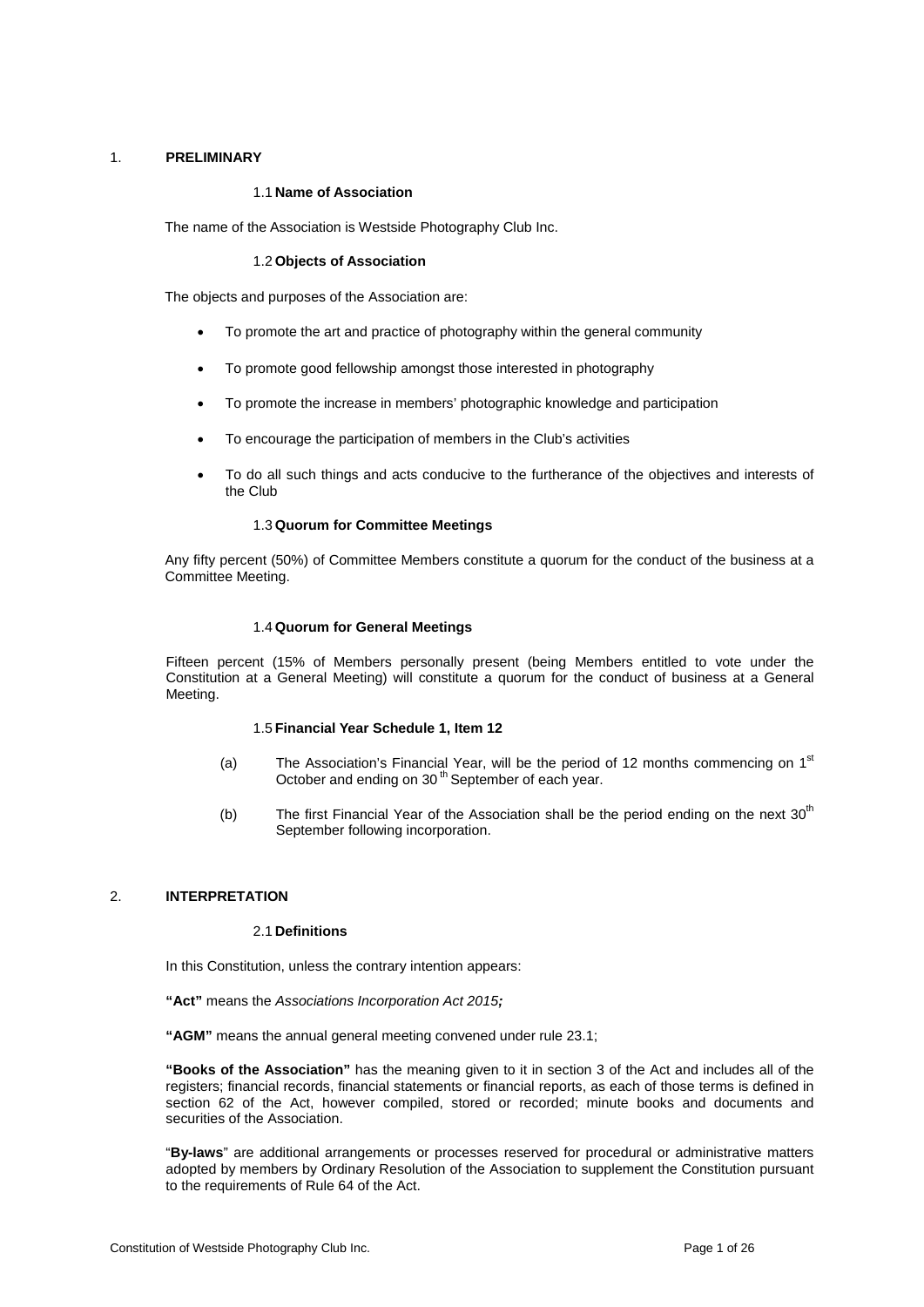# <span id="page-3-0"></span>1. **PRELIMINARY**

### 1.1 **Name of Association**

The name of the Association is Westside Photography Club Inc.

# 1.2 **Objects of Association**

The objects and purposes of the Association are:

- To promote the art and practice of photography within the general community
- To promote good fellowship amongst those interested in photography
- To promote the increase in members' photographic knowledge and participation
- To encourage the participation of members in the Club's activities
- To do all such things and acts conducive to the furtherance of the objectives and interests of the Club

#### 1.3 **Quorum for Committee Meetings**

Any fifty percent (50%) of Committee Members constitute a quorum for the conduct of the business at a Committee Meeting.

#### 1.4 **Quorum for General Meetings**

Fifteen percent (15% of Members personally present (being Members entitled to vote under the Constitution at a General Meeting) will constitute a quorum for the conduct of business at a General Meeting.

# 1.5 **Financial Year Schedule 1, Item 12**

- (a) The Association's Financial Year, will be the period of 12 months commencing on  $1<sup>st</sup>$ October and ending on 30<sup>th</sup> September of each year.
- (b) The first Financial Year of the Association shall be the period ending on the next  $30<sup>th</sup>$ September following incorporation.

# <span id="page-3-1"></span>2. **INTERPRETATION**

# 2.1 **Definitions**

In this Constitution, unless the contrary intention appears:

**"Act"** means the *Associations Incorporation Act 2015;*

**"AGM"** means the annual general meeting convened under rule 23.1;

**"Books of the Association"** has the meaning given to it in section 3 of the Act and includes all of the registers; financial records, financial statements or financial reports, as each of those terms is defined in section 62 of the Act, however compiled, stored or recorded; minute books and documents and securities of the Association.

"**By-laws**" are additional arrangements or processes reserved for procedural or administrative matters adopted by members by Ordinary Resolution of the Association to supplement the Constitution pursuant to the requirements of Rule 64 of the Act.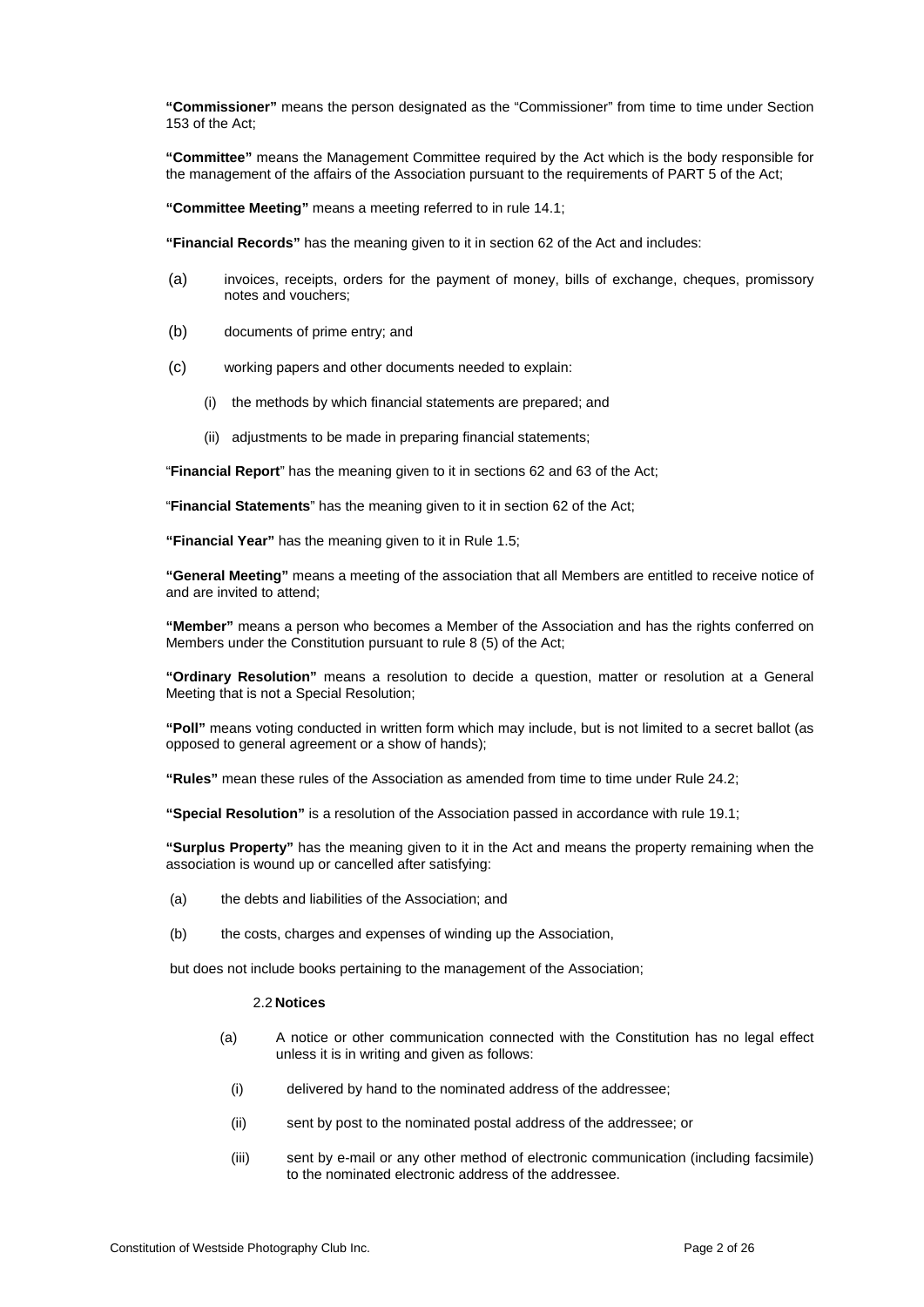**"Commissioner"** means the person designated as the "Commissioner" from time to time under Section 153 of the Act;

**"Committee"** means the Management Committee required by the Act which is the body responsible for the management of the affairs of the Association pursuant to the requirements of PART 5 of the Act;

**"Committee Meeting"** means a meeting referred to in rule [14.1;](#page-16-1)

**"Financial Records"** has the meaning given to it in section 62 of the Act and includes:

- (a) invoices, receipts, orders for the payment of money, bills of exchange, cheques, promissory notes and vouchers;
- (b) documents of prime entry; and
- (c) working papers and other documents needed to explain:
	- (i) the methods by which financial statements are prepared; and
	- (ii) adjustments to be made in preparing financial statements;

"**Financial Report**" has the meaning given to it in sections 62 and 63 of the Act;

"**Financial Statements**" has the meaning given to it in section 62 of the Act;

**"Financial Year"** has the meaning given to it in Rule 1.5;

**"General Meeting"** means a meeting of the association that all Members are entitled to receive notice of and are invited to attend;

**"Member"** means a person who becomes a Member of the Association and has the rights conferred on Members under the Constitution pursuant to rule 8 (5) of the Act;

**"Ordinary Resolution"** means a resolution to decide a question, matter or resolution at a General Meeting that is not a Special Resolution;

**"Poll"** means voting conducted in written form which may include, but is not limited to a secret ballot (as opposed to general agreement or a show of hands);

**"Rules"** mean these rules of the Association as amended from time to time under Rule 24.2;

**"Special Resolution"** is a resolution of the Association passed in accordance with rule 19.1;

**"Surplus Property"** has the meaning given to it in the Act and means the property remaining when the association is wound up or cancelled after satisfying:

- (a) the debts and liabilities of the Association; and
- (b) the costs, charges and expenses of winding up the Association,

but does not include books pertaining to the management of the Association;

#### 2.2 **Notices**

- (a) A notice or other communication connected with the Constitution has no legal effect unless it is in writing and given as follows:
- (i) delivered by hand to the nominated address of the addressee;
- (ii) sent by post to the nominated postal address of the addressee; or
- (iii) sent by e-mail or any other method of electronic communication (including facsimile) to the nominated electronic address of the addressee.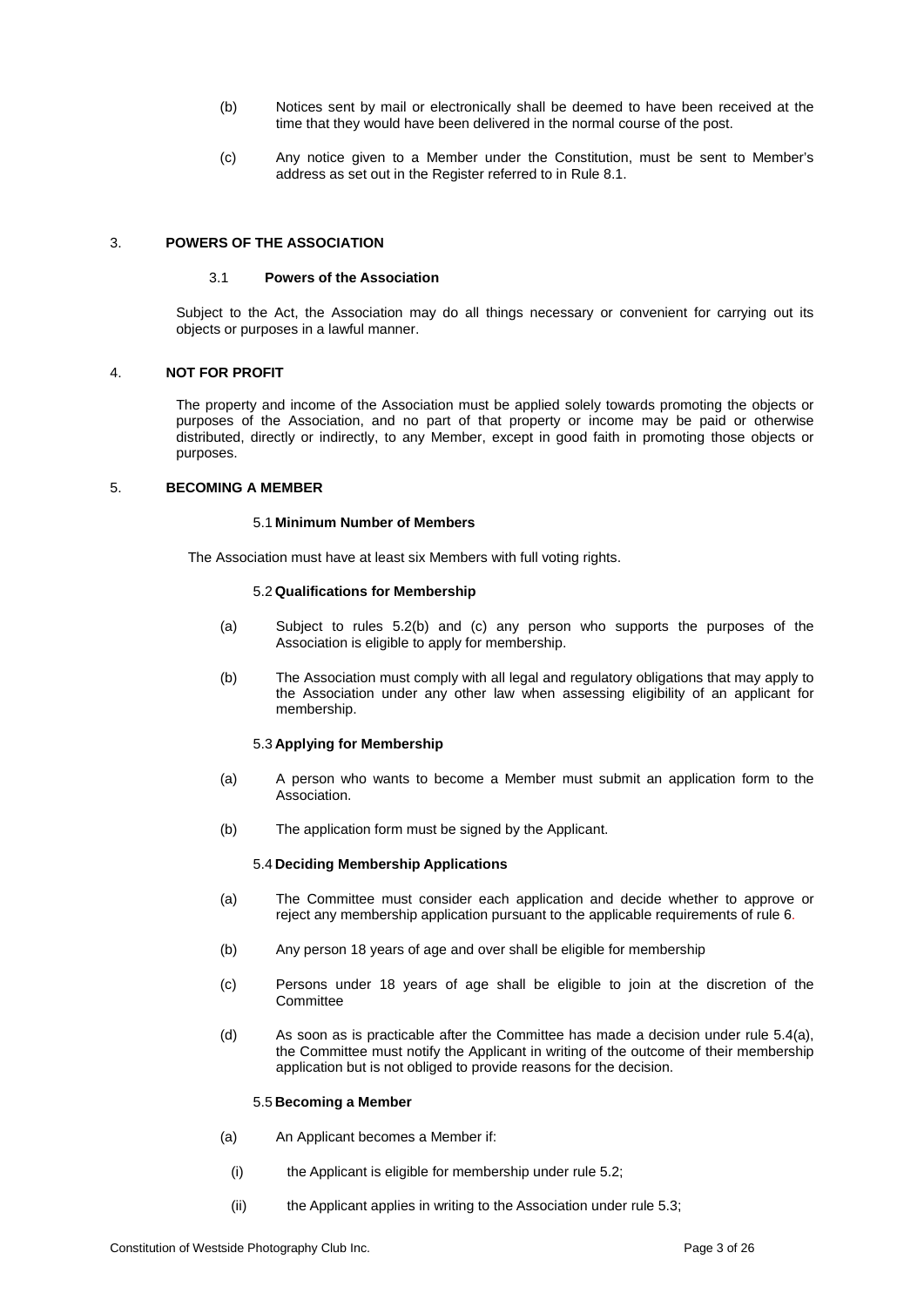- (b) Notices sent by mail or electronically shall be deemed to have been received at the time that they would have been delivered in the normal course of the post.
- (c) Any notice given to a Member under the Constitution, must be sent to Member's address as set out in the Register referred to in Rule 8.1.

# <span id="page-5-0"></span>3. **POWERS OF THE ASSOCIATION**

#### 3.1 **Powers of the Association**

Subject to the Act, the Association may do all things necessary or convenient for carrying out its objects or purposes in a lawful manner.

### 4. **NOT FOR PROFIT**

The property and income of the Association must be applied solely towards promoting the objects or purposes of the Association, and no part of that property or income may be paid or otherwise distributed, directly or indirectly, to any Member, except in good faith in promoting those objects or purposes.

#### <span id="page-5-1"></span>5. **BECOMING A MEMBER**

#### 5.1 **Minimum Number of Members**

The Association must have at least six Members with full voting rights.

#### 5.2 **Qualifications for Membership**

- (a) Subject to rules 5.2(b) and (c) any person who supports the purposes of the Association is eligible to apply for membership.
- (b) The Association must comply with all legal and regulatory obligations that may apply to the Association under any other law when assessing eligibility of an applicant for membership.

#### 5.3 **Applying for Membership**

- (a) A person who wants to become a Member must submit an application form to the Association.
- (b) The application form must be signed by the Applicant.

#### 5.4 **Deciding Membership Applications**

- (a) The Committee must consider each application and decide whether to approve or reject any membership application pursuant to the applicable requirements of rule 6.
- (b) Any person 18 years of age and over shall be eligible for membership
- (c) Persons under 18 years of age shall be eligible to join at the discretion of the **Committee**
- (d) As soon as is practicable after the Committee has made a decision under rule 5.4(a), the Committee must notify the Applicant in writing of the outcome of their membership application but is not obliged to provide reasons for the decision.

#### 5.5 **Becoming a Member**

- <span id="page-5-2"></span>(a) An Applicant becomes a Member if:
	- (i) the Applicant is eligible for membership under rule 5.2;
	- (ii) the Applicant applies in writing to the Association under rule 5.3;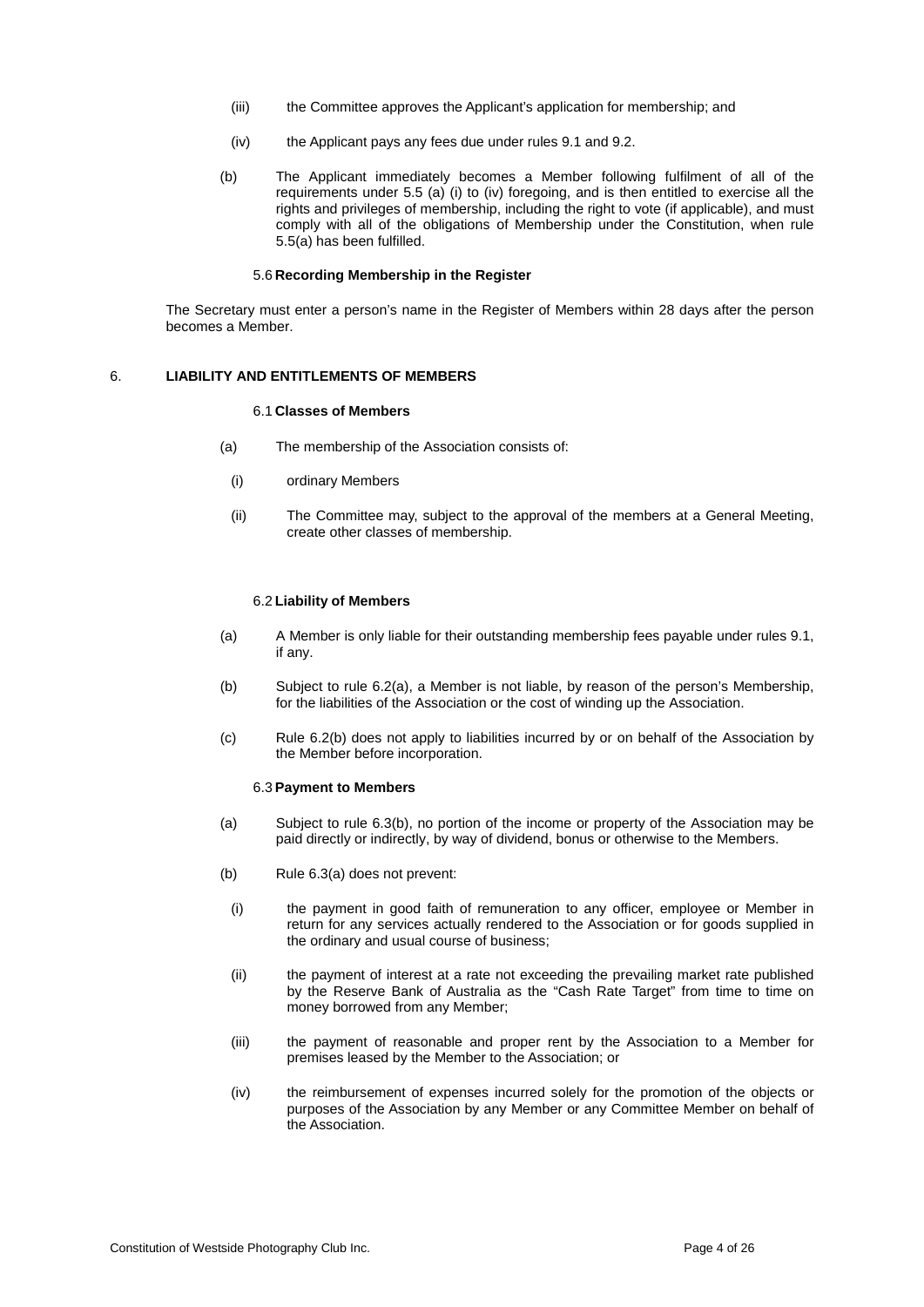- (iii) the Committee approves the Applicant's application for membership; and
- (iv) the Applicant pays any fees due under rules 9.1 and 9.2.
- (b) The Applicant immediately becomes a Member following fulfilment of all of the requirements under 5.5 (a) (i) to (iv) foregoing, and is then entitled to exercise all the rights and privileges of membership, including the right to vote (if applicable), and must comply with all of the obligations of Membership under the Constitution, when rule [5.5\(a\)](#page-5-2) has been fulfilled.

#### 5.6 **Recording Membership in the Register**

The Secretary must enter a person's name in the Register of Members within 28 days after the person becomes a Member.

#### <span id="page-6-0"></span>6. **LIABILITY AND ENTITLEMENTS OF MEMBERS**

#### 6.1 **Classes of Members**

- (a) The membership of the Association consists of:
	- (i) ordinary Members
	- (ii) The Committee may, subject to the approval of the members at a General Meeting, create other classes of membership.

#### 6.2 **Liability of Members**

- (a) A Member is only liable for their outstanding membership fees payable under rules 9.1, if any.
- (b) Subject to rule 6.2(a), a Member is not liable, by reason of the person's Membership, for the liabilities of the Association or the cost of winding up the Association.
- (c) Rule 6.2(b) does not apply to liabilities incurred by or on behalf of the Association by the Member before incorporation.

#### 6.3 **Payment to Members**

- (a) Subject to rule 6.3(b), no portion of the income or property of the Association may be paid directly or indirectly, by way of dividend, bonus or otherwise to the Members.
- (b) Rule 6.3(a) does not prevent:
	- (i) the payment in good faith of remuneration to any officer, employee or Member in return for any services actually rendered to the Association or for goods supplied in the ordinary and usual course of business;
	- (ii) the payment of interest at a rate not exceeding the prevailing market rate published by the Reserve Bank of Australia as the "Cash Rate Target" from time to time on money borrowed from any Member;
	- (iii) the payment of reasonable and proper rent by the Association to a Member for premises leased by the Member to the Association; or
	- (iv) the reimbursement of expenses incurred solely for the promotion of the objects or purposes of the Association by any Member or any Committee Member on behalf of the Association.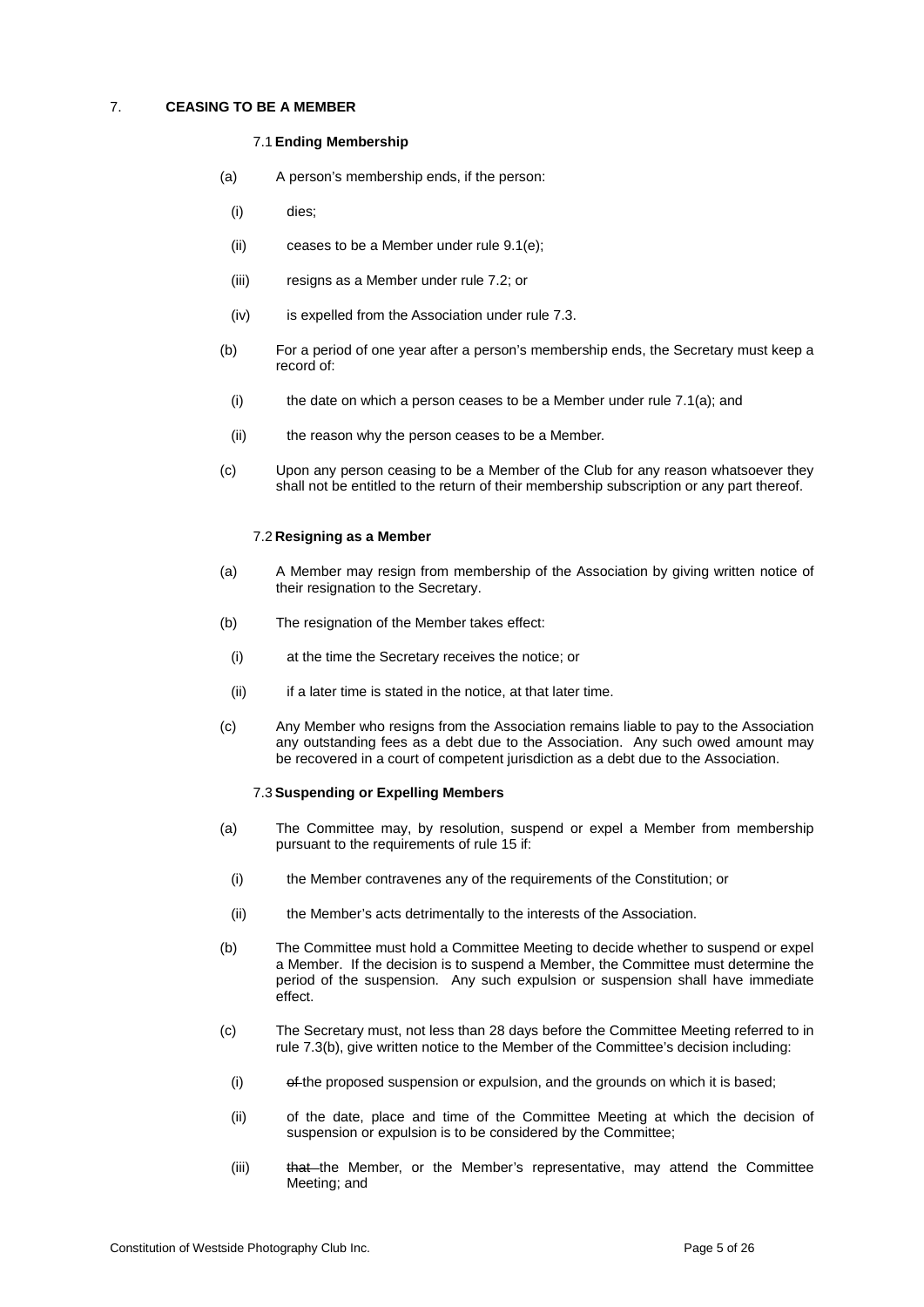# <span id="page-7-0"></span>7. **CEASING TO BE A MEMBER**

#### 7.1 **Ending Membership**

- (a) A person's membership ends, if the person:
	- (i) dies;
	- (ii) ceases to be a Member under rule 9.1(e);
	- (iii) resigns as a Member under rule 7.2; or
	- (iv) is expelled from the Association under rule 7.3.
- (b) For a period of one year after a person's membership ends, the Secretary must keep a record of:
- (i) the date on which a person ceases to be a Member under rule  $7.1(a)$ ; and
- (ii) the reason why the person ceases to be a Member.
- (c) Upon any person ceasing to be a Member of the Club for any reason whatsoever they shall not be entitled to the return of their membership subscription or any part thereof.

# 7.2 **Resigning as a Member**

- (a) A Member may resign from membership of the Association by giving written notice of their resignation to the Secretary.
- (b) The resignation of the Member takes effect:
- (i) at the time the Secretary receives the notice; or
- (ii) if a later time is stated in the notice, at that later time.
- (c) Any Member who resigns from the Association remains liable to pay to the Association any outstanding fees as a debt due to the Association. Any such owed amount may be recovered in a court of competent jurisdiction as a debt due to the Association.

#### 7.3 **Suspending or Expelling Members**

- (a) The Committee may, by resolution, suspend or expel a Member from membership pursuant to the requirements of rule 15 if:
	- (i) the Member contravenes any of the requirements of the Constitution; or
	- (ii) the Member's acts detrimentally to the interests of the Association.
- (b) The Committee must hold a Committee Meeting to decide whether to suspend or expel a Member. If the decision is to suspend a Member, the Committee must determine the period of the suspension. Any such expulsion or suspension shall have immediate effect.
- (c) The Secretary must, not less than 28 days before the Committee Meeting referred to in rule 7.3(b), give written notice to the Member of the Committee's decision including:
	- $(i)$  of the proposed suspension or expulsion, and the grounds on which it is based;
	- (ii) of the date, place and time of the Committee Meeting at which the decision of suspension or expulsion is to be considered by the Committee;
	- (iii) that the Member, or the Member's representative, may attend the Committee Meeting; and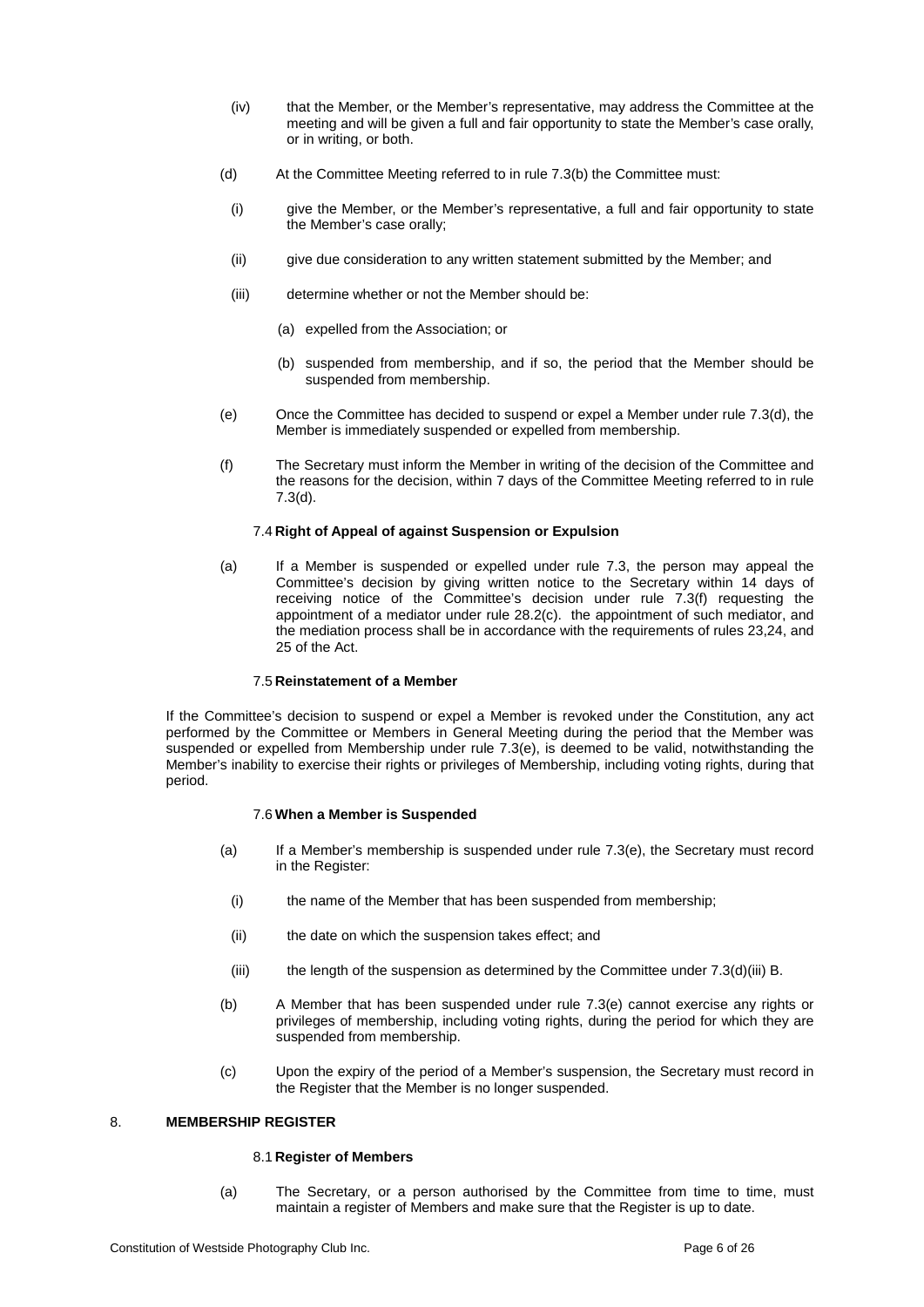- (iv) that the Member, or the Member's representative, may address the Committee at the meeting and will be given a full and fair opportunity to state the Member's case orally, or in writing, or both.
- (d) At the Committee Meeting referred to in rule 7.3(b) the Committee must:
- (i) give the Member, or the Member's representative, a full and fair opportunity to state the Member's case orally;
- (ii) give due consideration to any written statement submitted by the Member; and
- (iii) determine whether or not the Member should be:
	- (a) expelled from the Association; or
	- (b) suspended from membership, and if so, the period that the Member should be suspended from membership.
- (e) Once the Committee has decided to suspend or expel a Member under rule 7.3(d), the Member is immediately suspended or expelled from membership.
- (f) The Secretary must inform the Member in writing of the decision of the Committee and the reasons for the decision, within 7 days of the Committee Meeting referred to in rule 7.3(d).

# 7.4 **Right of Appeal of against Suspension or Expulsion**

(a) If a Member is suspended or expelled under rule 7.3, the person may appeal the Committee's decision by giving written notice to the Secretary within 14 days of receiving notice of the Committee's decision under rule 7.3(f) requesting the appointment of a mediator under rule 28.2(c). the appointment of such mediator, and the mediation process shall be in accordance with the requirements of rules 23,24, and 25 of the Act.

### 7.5 **Reinstatement of a Member**

If the Committee's decision to suspend or expel a Member is revoked under the Constitution, any act performed by the Committee or Members in General Meeting during the period that the Member was suspended or expelled from Membership under rule 7.3(e), is deemed to be valid, notwithstanding the Member's inability to exercise their rights or privileges of Membership, including voting rights, during that period.

### 7.6 **When a Member is Suspended**

- (a) If a Member's membership is suspended under rule 7.3(e), the Secretary must record in the Register:
	- (i) the name of the Member that has been suspended from membership;
	- (ii) the date on which the suspension takes effect; and
	- (iii) the length of the suspension as determined by the Committee under  $7.3(d)$ (iii) B.
- (b) A Member that has been suspended under rule 7.3(e) cannot exercise any rights or privileges of membership, including voting rights, during the period for which they are suspended from membership.
- (c) Upon the expiry of the period of a Member's suspension, the Secretary must record in the Register that the Member is no longer suspended.

# <span id="page-8-1"></span><span id="page-8-0"></span>8. **MEMBERSHIP REGISTER**

### 8.1 **Register of Members**

(a) The Secretary, or a person authorised by the Committee from time to time, must maintain a register of Members and make sure that the Register is up to date.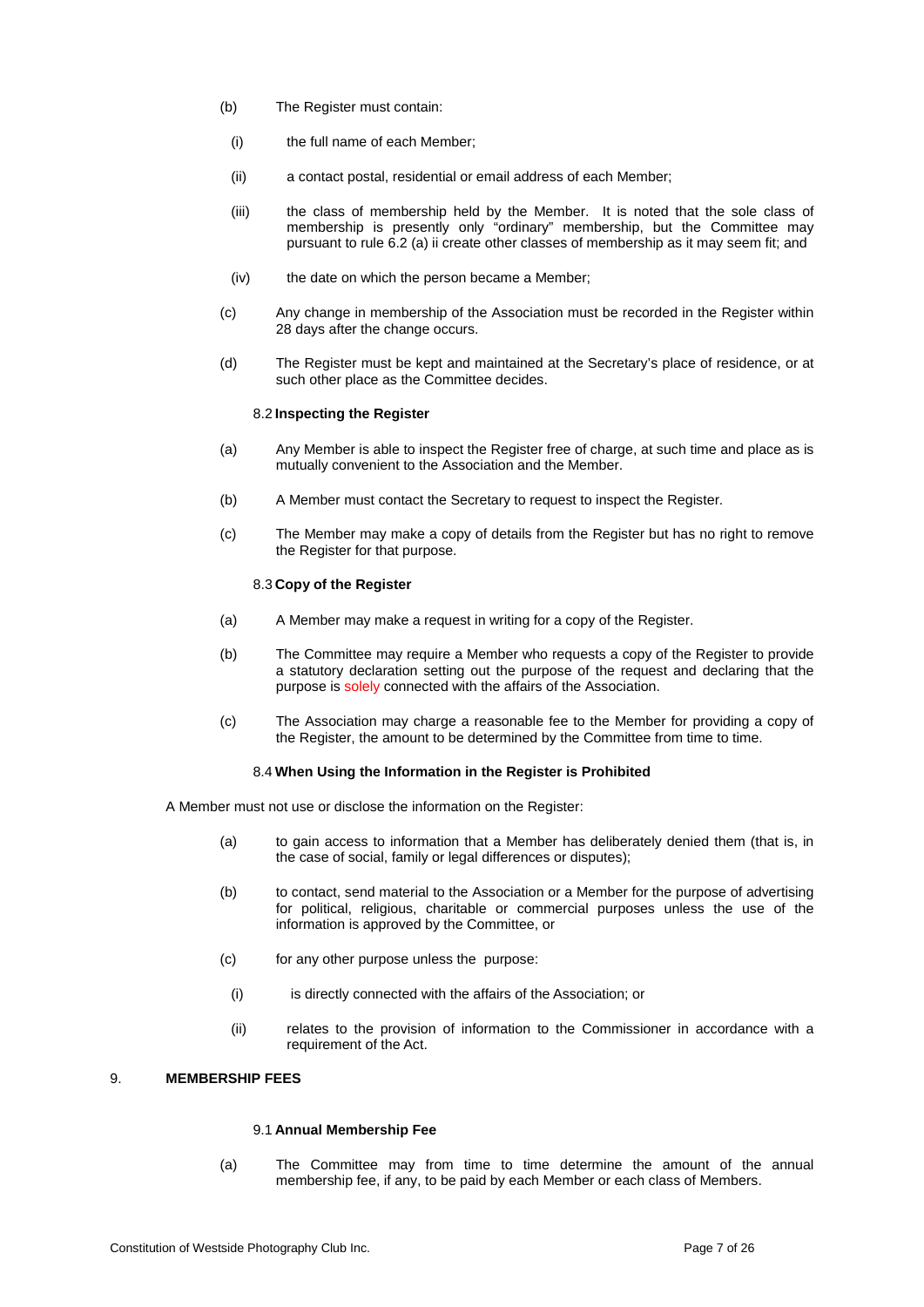- <span id="page-9-2"></span>(b) The Register must contain:
- (i) the full name of each Member;
- (ii) a contact postal, residential or email address of each Member;
- (iii) the class of membership held by the Member. It is noted that the sole class of membership is presently only "ordinary" membership, but the Committee may pursuant to rule 6.2 (a) ii create other classes of membership as it may seem fit; and
- (iv) the date on which the person became a Member;
- (c) Any change in membership of the Association must be recorded in the Register within 28 days after the change occurs.
- (d) The Register must be kept and maintained at the Secretary's place of residence, or at such other place as the Committee decides.

# 8.2 **Inspecting the Register**

- (a) Any Member is able to inspect the Register free of charge, at such time and place as is mutually convenient to the Association and the Member.
- (b) A Member must contact the Secretary to request to inspect the Register.
- (c) The Member may make a copy of details from the Register but has no right to remove the Register for that purpose.

# 8.3 **Copy of the Register**

- (a) A Member may make a request in writing for a copy of the Register.
- (b) The Committee may require a Member who requests a copy of the Register to provide a statutory declaration setting out the purpose of the request and declaring that the purpose is solely connected with the affairs of the Association.
- (c) The Association may charge a reasonable fee to the Member for providing a copy of the Register, the amount to be determined by the Committee from time to time.

# 8.4 **When Using the Information in the Register is Prohibited**

A Member must not use or disclose the information on the Register:

- (a) to gain access to information that a Member has deliberately denied them (that is, in the case of social, family or legal differences or disputes);
- (b) to contact, send material to the Association or a Member for the purpose of advertising for political, religious, charitable or commercial purposes unless the use of the information is approved by the Committee, or
- (c) for any other purpose unless the purpose:
	- (i) is directly connected with the affairs of the Association; or
- (ii) relates to the provision of information to the Commissioner in accordance with a requirement of the Act.

# <span id="page-9-3"></span><span id="page-9-1"></span><span id="page-9-0"></span>9. **MEMBERSHIP FEES**

### 9.1 **Annual Membership Fee**

(a) The Committee may from time to time determine the amount of the annual membership fee, if any, to be paid by each Member or each class of Members.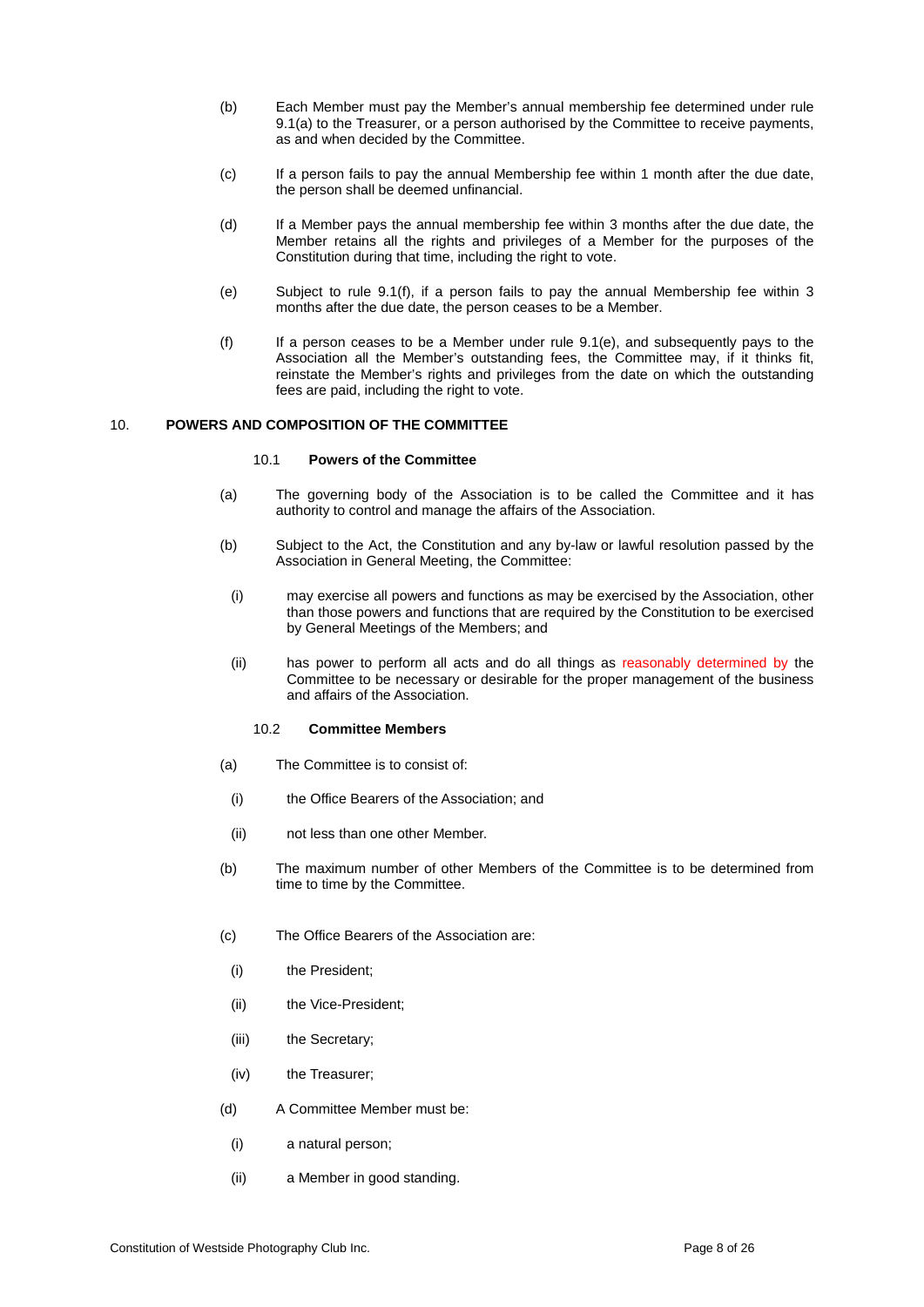- (b) Each Member must pay the Member's annual membership fee determined under rule [9.1\(a\)](#page-9-1) to the Treasurer, or a person authorised by the Committee to receive payments, as and when decided by the Committee.
- (c) If a person fails to pay the annual Membership fee within 1 month after the due date, the person shall be deemed unfinancial.
- (d) If a Member pays the annual membership fee within 3 months after the due date, the Member retains all the rights and privileges of a Member for the purposes of the Constitution during that time, including the right to vote.
- <span id="page-10-2"></span>(e) Subject to rule [9.1\(f\),](#page-10-1) if a person fails to pay the annual Membership fee within 3 months after the due date, the person ceases to be a Member.
- $(f)$  If a person ceases to be a Member under rule  $9.1(e)$ , and subsequently pays to the Association all the Member's outstanding fees, the Committee may, if it thinks fit, reinstate the Member's rights and privileges from the date on which the outstanding fees are paid, including the right to vote.

# <span id="page-10-1"></span><span id="page-10-0"></span>10. **POWERS AND COMPOSITION OF THE COMMITTEE**

# 10.1 **Powers of the Committee**

- (a) The governing body of the Association is to be called the Committee and it has authority to control and manage the affairs of the Association.
- (b) Subject to the Act, the Constitution and any by-law or lawful resolution passed by the Association in General Meeting, the Committee:
	- (i) may exercise all powers and functions as may be exercised by the Association, other than those powers and functions that are required by the Constitution to be exercised by General Meetings of the Members; and
	- (ii) has power to perform all acts and do all things as reasonably determined by the Committee to be necessary or desirable for the proper management of the business and affairs of the Association.

### 10.2 **Committee Members**

- (a) The Committee is to consist of:
	- (i) the Office Bearers of the Association; and
	- (ii) not less than one other Member.
- (b) The maximum number of other Members of the Committee is to be determined from time to time by the Committee.
- <span id="page-10-3"></span>(c) The Office Bearers of the Association are:
	- (i) the President;
	- (ii) the Vice-President;
	- (iii) the Secretary;
	- (iv) the Treasurer;
- (d) A Committee Member must be:
	- (i) a natural person;
	- (ii) a Member in good standing.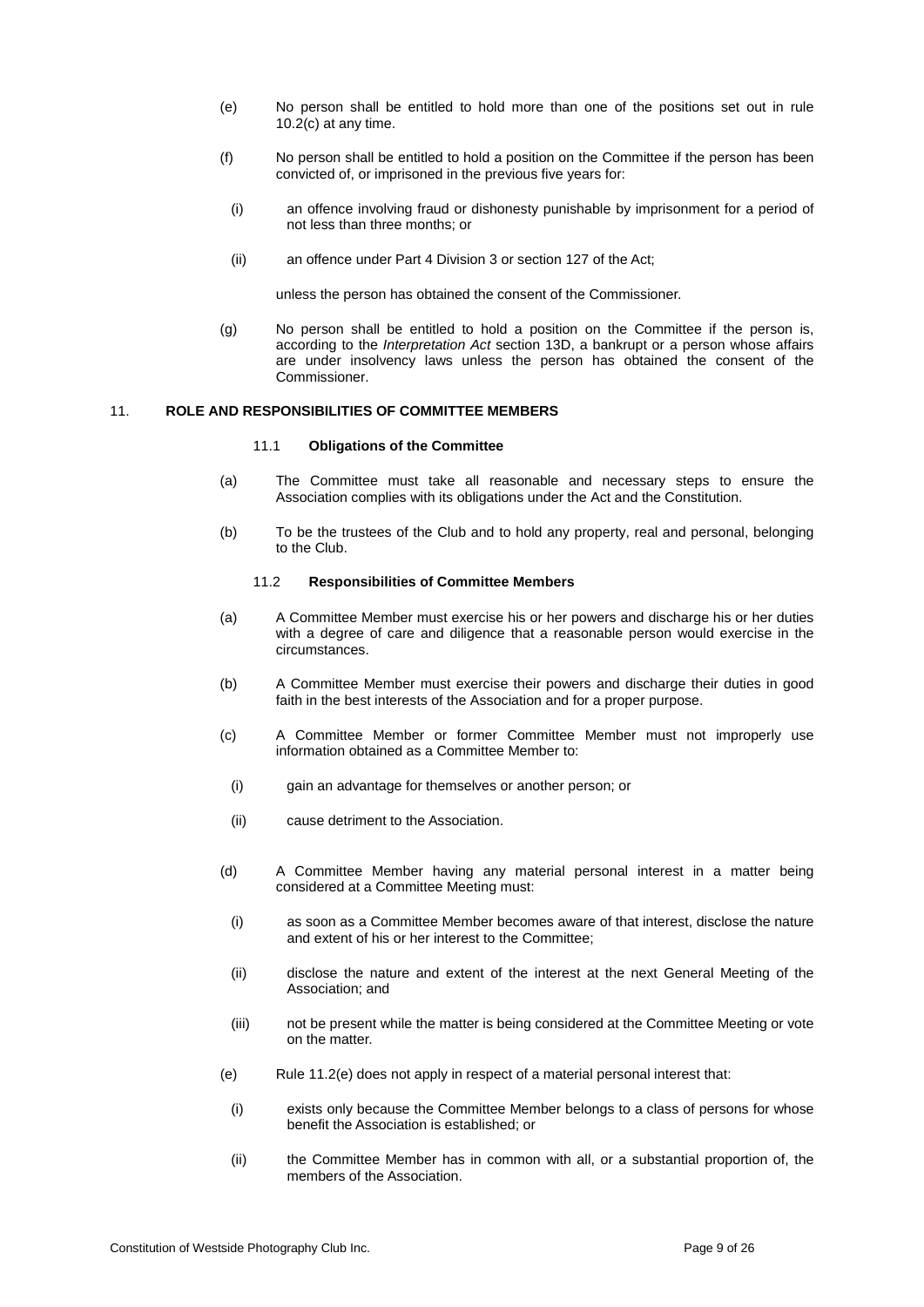- (e) No person shall be entitled to hold more than one of the positions set out in rule [10.2\(c\)](#page-10-3) at any time.
- (f) No person shall be entitled to hold a position on the Committee if the person has been convicted of, or imprisoned in the previous five years for:
	- (i) an offence involving fraud or dishonesty punishable by imprisonment for a period of not less than three months; or
	- (ii) an offence under Part 4 Division 3 or section 127 of the Act;

unless the person has obtained the consent of the Commissioner.

(g) No person shall be entitled to hold a position on the Committee if the person is, according to the *Interpretation Act* section 13D, a bankrupt or a person whose affairs are under insolvency laws unless the person has obtained the consent of the Commissioner.

# <span id="page-11-0"></span>11. **ROLE AND RESPONSIBILITIES OF COMMITTEE MEMBERS**

#### 11.1 **Obligations of the Committee**

- (a) The Committee must take all reasonable and necessary steps to ensure the Association complies with its obligations under the Act and the Constitution.
- (b) To be the trustees of the Club and to hold any property, real and personal, belonging to the Club.

#### 11.2 **Responsibilities of Committee Members**

- (a) A Committee Member must exercise his or her powers and discharge his or her duties with a degree of care and diligence that a reasonable person would exercise in the circumstances.
- (b) A Committee Member must exercise their powers and discharge their duties in good faith in the best interests of the Association and for a proper purpose.
- (c) A Committee Member or former Committee Member must not improperly use information obtained as a Committee Member to:
	- (i) gain an advantage for themselves or another person; or
	- (ii) cause detriment to the Association.
- <span id="page-11-1"></span>(d) A Committee Member having any material personal interest in a matter being considered at a Committee Meeting must:
	- (i) as soon as a Committee Member becomes aware of that interest, disclose the nature and extent of his or her interest to the Committee;
	- (ii) disclose the nature and extent of the interest at the next General Meeting of the Association; and
- (iii) not be present while the matter is being considered at the Committee Meeting or vote on the matter.
- (e) Rule [11.2\(e\)](#page-11-1) does not apply in respect of a material personal interest that:
- (i) exists only because the Committee Member belongs to a class of persons for whose benefit the Association is established; or
- (ii) the Committee Member has in common with all, or a substantial proportion of, the members of the Association.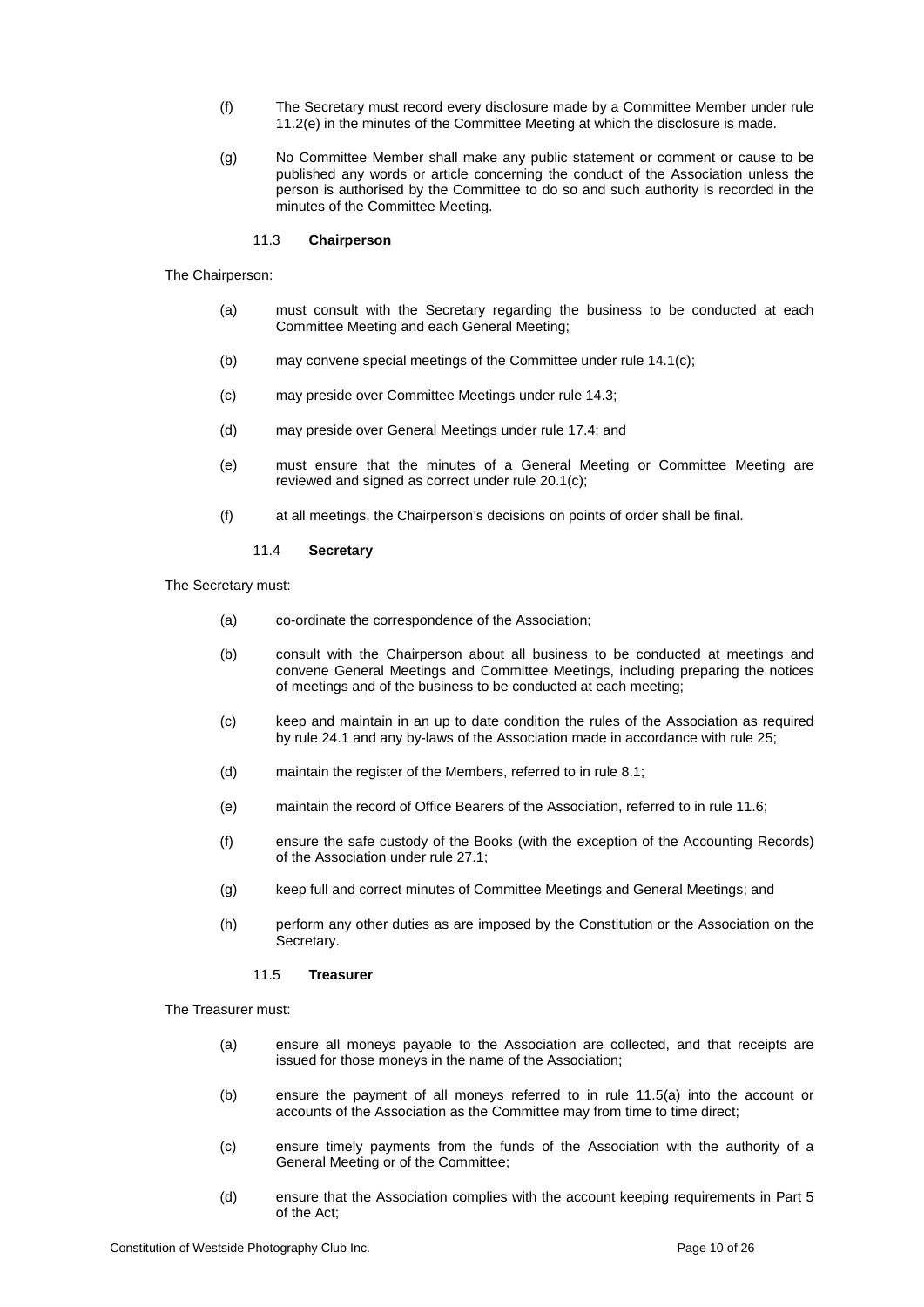- (f) The Secretary must record every disclosure made by a Committee Member under rule [11.2\(e\)](#page-11-1) in the minutes of the Committee Meeting at which the disclosure is made.
- (g) No Committee Member shall make any public statement or comment or cause to be published any words or article concerning the conduct of the Association unless the person is authorised by the Committee to do so and such authority is recorded in the minutes of the Committee Meeting.

#### 11.3 **Chairperson**

The Chairperson:

- (a) must consult with the Secretary regarding the business to be conducted at each Committee Meeting and each General Meeting;
- (b) may convene special meetings of the Committee under rul[e 14.1\(c\);](#page-16-2)
- (c) may preside over Committee Meetings under rul[e 14.3;](#page-16-3)
- (d) may preside over General Meetings under rule [17.4;](#page-19-0) and
- (e) must ensure that the minutes of a General Meeting or Committee Meeting are reviewed and signed as correct under rule [20.1\(c\);](#page-22-1)
- (f) at all meetings, the Chairperson's decisions on points of order shall be final.

# 11.4 **Secretary**

The Secretary must:

- (a) co-ordinate the correspondence of the Association;
- (b) consult with the Chairperson about all business to be conducted at meetings and convene General Meetings and Committee Meetings, including preparing the notices of meetings and of the business to be conducted at each meeting;
- (c) keep and maintain in an up to date condition the rules of the Association as required by rule 24.1 and any by-laws of the Association made in accordance with rule 25;
- (d) maintain the register of the Members, referred to in rul[e 8.1;](#page-8-1)
- (e) maintain the record of Office Bearers of the Association, referred to in rul[e 11.6;](#page-13-1)
- (f) ensure the safe custody of the Books (with the exception of the Accounting Records) of the Association under rul[e 27.1;](#page-26-3)
- (g) keep full and correct minutes of Committee Meetings and General Meetings; and
- (h) perform any other duties as are imposed by the Constitution or the Association on the Secretary.

#### 11.5 **Treasurer**

<span id="page-12-0"></span>The Treasurer must:

- (a) ensure all moneys payable to the Association are collected, and that receipts are issued for those moneys in the name of the Association;
- (b) ensure the payment of all moneys referred to in rule [11.5\(a\)](#page-12-0) into the account or accounts of the Association as the Committee may from time to time direct;
- (c) ensure timely payments from the funds of the Association with the authority of a General Meeting or of the Committee;
- (d) ensure that the Association complies with the account keeping requirements in Part 5 of the Act;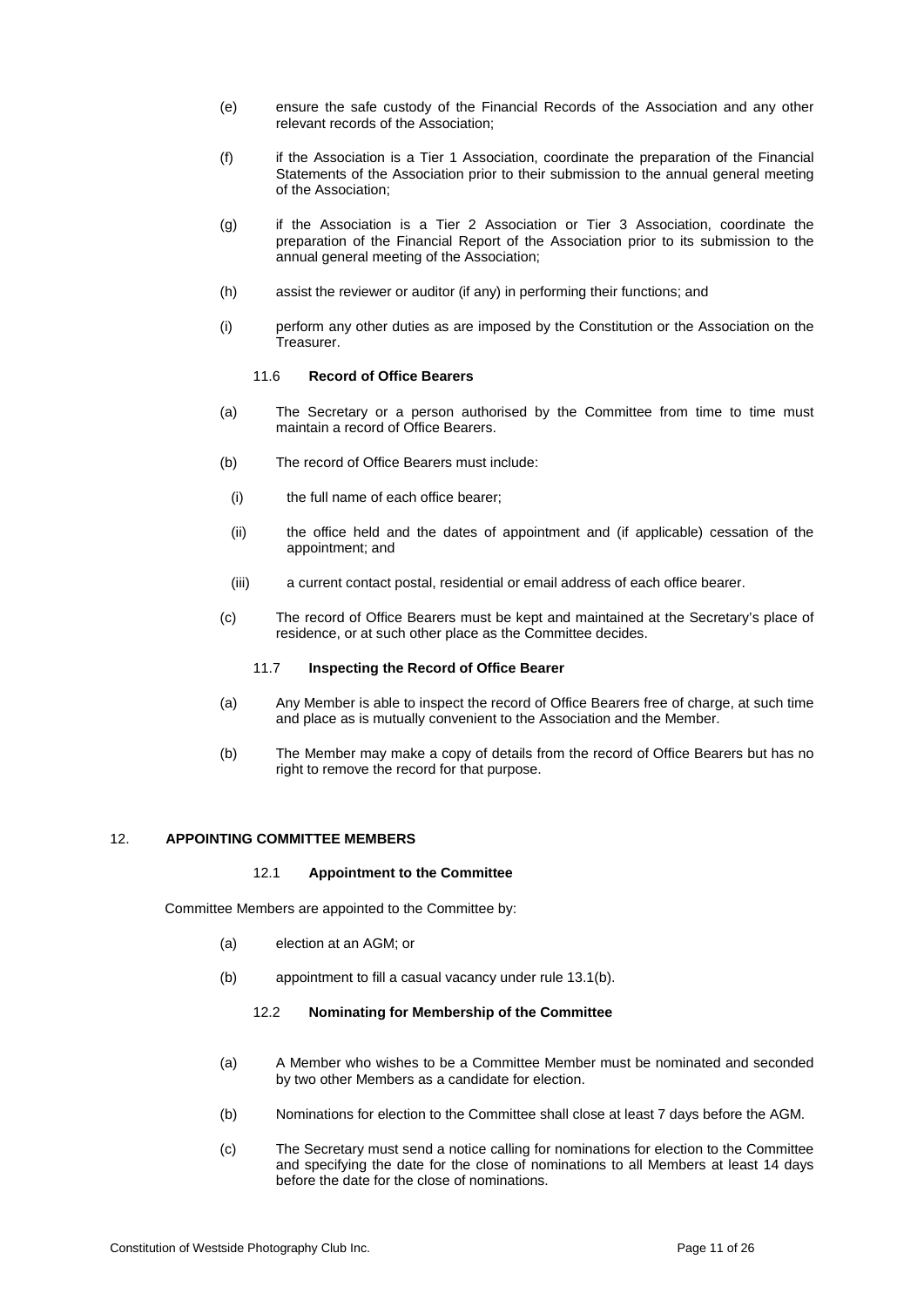- (e) ensure the safe custody of the Financial Records of the Association and any other relevant records of the Association;
- (f) if the Association is a Tier 1 Association, coordinate the preparation of the Financial Statements of the Association prior to their submission to the annual general meeting of the Association;
- (g) if the Association is a Tier 2 Association or Tier 3 Association, coordinate the preparation of the Financial Report of the Association prior to its submission to the annual general meeting of the Association;
- (h) assist the reviewer or auditor (if any) in performing their functions; and
- <span id="page-13-1"></span>(i) perform any other duties as are imposed by the Constitution or the Association on the Treasurer.

#### 11.6 **Record of Office Bearers**

- (a) The Secretary or a person authorised by the Committee from time to time must maintain a record of Office Bearers.
- (b) The record of Office Bearers must include:
	- (i) the full name of each office bearer;
	- (ii) the office held and the dates of appointment and (if applicable) cessation of the appointment; and
	- (iii) a current contact postal, residential or email address of each office bearer.
- (c) The record of Office Bearers must be kept and maintained at the Secretary's place of residence, or at such other place as the Committee decides.

#### 11.7 **Inspecting the Record of Office Bearer**

- (a) Any Member is able to inspect the record of Office Bearers free of charge, at such time and place as is mutually convenient to the Association and the Member.
- (b) The Member may make a copy of details from the record of Office Bearers but has no right to remove the record for that purpose.

# <span id="page-13-0"></span>12. **APPOINTING COMMITTEE MEMBERS**

#### 12.1 **Appointment to the Committee**

Committee Members are appointed to the Committee by:

- (a) election at an AGM; or
- (b) appointment to fill a casual vacancy under rul[e 13.1\(b\).](#page-15-1)

# 12.2 **Nominating for Membership of the Committee**

- (a) A Member who wishes to be a Committee Member must be nominated and seconded by two other Members as a candidate for election.
- (b) Nominations for election to the Committee shall close at least 7 days before the AGM.
- (c) The Secretary must send a notice calling for nominations for election to the Committee and specifying the date for the close of nominations to all Members at least 14 days before the date for the close of nominations.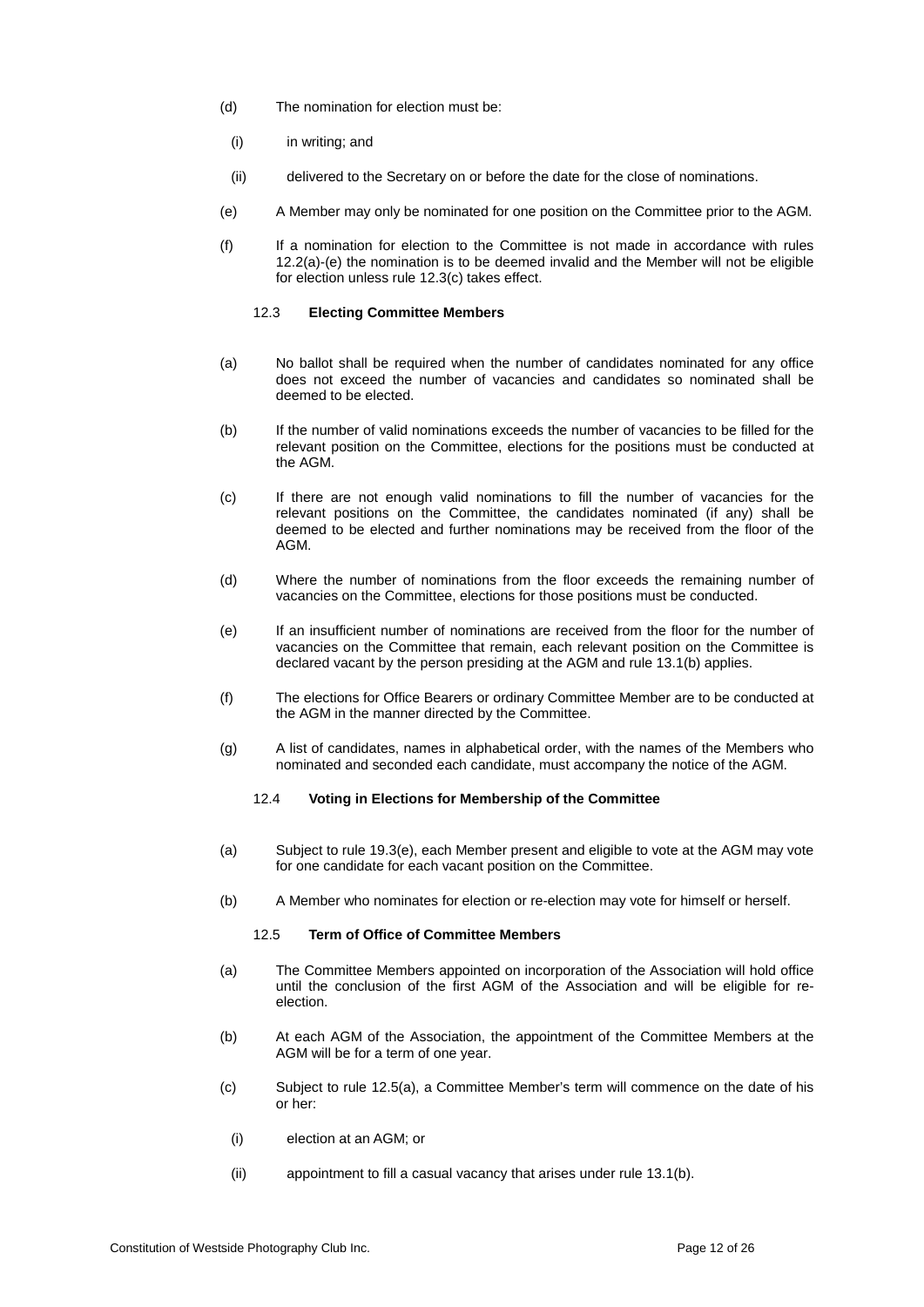- (d) The nomination for election must be:
- (i) in writing; and
- (ii) delivered to the Secretary on or before the date for the close of nominations.
- (e) A Member may only be nominated for one position on the Committee prior to the AGM.
- (f) If a nomination for election to the Committee is not made in accordance with rules 12.2(a)-(e) the nomination is to be deemed invalid and the Member will not be eligible for election unless rule [12.3\(c\)](#page-14-0) takes effect.

# 12.3 **Electing Committee Members**

- (a) No ballot shall be required when the number of candidates nominated for any office does not exceed the number of vacancies and candidates so nominated shall be deemed to be elected.
- (b) If the number of valid nominations exceeds the number of vacancies to be filled for the relevant position on the Committee, elections for the positions must be conducted at the AGM.
- <span id="page-14-0"></span>(c) If there are not enough valid nominations to fill the number of vacancies for the relevant positions on the Committee, the candidates nominated (if any) shall be deemed to be elected and further nominations may be received from the floor of the AGM.
- (d) Where the number of nominations from the floor exceeds the remaining number of vacancies on the Committee, elections for those positions must be conducted.
- <span id="page-14-2"></span>(e) If an insufficient number of nominations are received from the floor for the number of vacancies on the Committee that remain, each relevant position on the Committee is declared vacant by the person presiding at the AGM and rule [13.1\(b\)](#page-15-1) applies.
- (f) The elections for Office Bearers or ordinary Committee Member are to be conducted at the AGM in the manner directed by the Committee.
- (g) A list of candidates, names in alphabetical order, with the names of the Members who nominated and seconded each candidate, must accompany the notice of the AGM.

### 12.4 **Voting in Elections for Membership of the Committee**

- (a) Subject to rule [19.3\(e\),](#page-21-0) each Member present and eligible to vote at the AGM may vote for one candidate for each vacant position on the Committee.
- (b) A Member who nominates for election or re-election may vote for himself or herself.

### 12.5 **Term of Office of Committee Members**

- <span id="page-14-1"></span>(a) The Committee Members appointed on incorporation of the Association will hold office until the conclusion of the first AGM of the Association and will be eligible for reelection.
- (b) At each AGM of the Association, the appointment of the Committee Members at the AGM will be for a term of one year.
- (c) Subject to rule [12.5\(a\),](#page-14-1) a Committee Member's term will commence on the date of his or her:
	- (i) election at an AGM; or
	- (ii) appointment to fill a casual vacancy that arises under rul[e 13.1\(b\).](#page-15-1)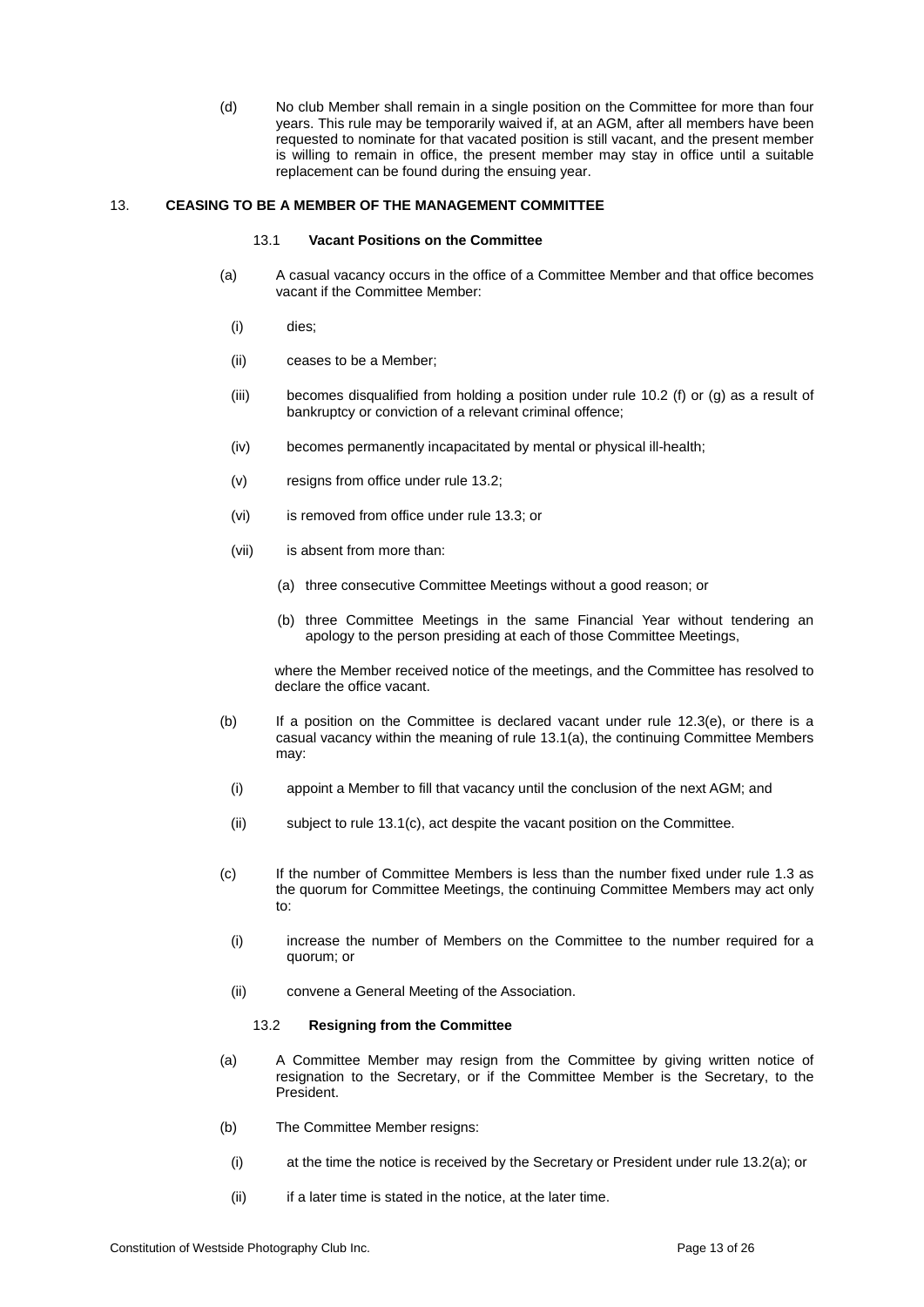(d) No club Member shall remain in a single position on the Committee for more than four years. This rule may be temporarily waived if, at an AGM, after all members have been requested to nominate for that vacated position is still vacant, and the present member is willing to remain in office, the present member may stay in office until a suitable replacement can be found during the ensuing year.

# <span id="page-15-3"></span><span id="page-15-0"></span>13. **CEASING TO BE A MEMBER OF THE MANAGEMENT COMMITTEE**

#### 13.1 **Vacant Positions on the Committee**

- (a) A casual vacancy occurs in the office of a Committee Member and that office becomes vacant if the Committee Member:
	- (i) dies;
	- (ii) ceases to be a Member;
	- (iii) becomes disqualified from holding a position under rule 10.2 (f) or (g) as a result of bankruptcy or conviction of a relevant criminal offence;
	- (iv) becomes permanently incapacitated by mental or physical ill-health;
	- (v) resigns from office under rule [13.2;](#page-15-2)
	- (vi) is removed from office under rule [13.3;](#page-16-4) or
	- (vii) is absent from more than:
		- (a) three consecutive Committee Meetings without a good reason; or
		- (b) three Committee Meetings in the same Financial Year without tendering an apology to the person presiding at each of those Committee Meetings,

<span id="page-15-6"></span>where the Member received notice of the meetings, and the Committee has resolved to declare the office vacant.

- <span id="page-15-1"></span>(b) If a position on the Committee is declared vacant under rule [12.3\(e\),](#page-14-2) or there is a casual vacancy within the meaning of rule [13.1\(a\),](#page-15-3) the continuing Committee Members may:
	- (i) appoint a Member to fill that vacancy until the conclusion of the next AGM; and
	- (ii) subject to rul[e 13.1\(c\),](#page-15-4) act despite the vacant position on the Committee.
- <span id="page-15-4"></span>(c) If the number of Committee Members is less than the number fixed under rule 1.3 as the quorum for Committee Meetings, the continuing Committee Members may act only to:
	- (i) increase the number of Members on the Committee to the number required for a quorum; or
	- (ii) convene a General Meeting of the Association.

#### 13.2 **Resigning from the Committee**

- <span id="page-15-5"></span><span id="page-15-2"></span>(a) A Committee Member may resign from the Committee by giving written notice of resignation to the Secretary, or if the Committee Member is the Secretary, to the President.
- (b) The Committee Member resigns:
	- (i) at the time the notice is received by the Secretary or President under rul[e 13.2\(a\);](#page-15-5) or
- (ii) if a later time is stated in the notice, at the later time.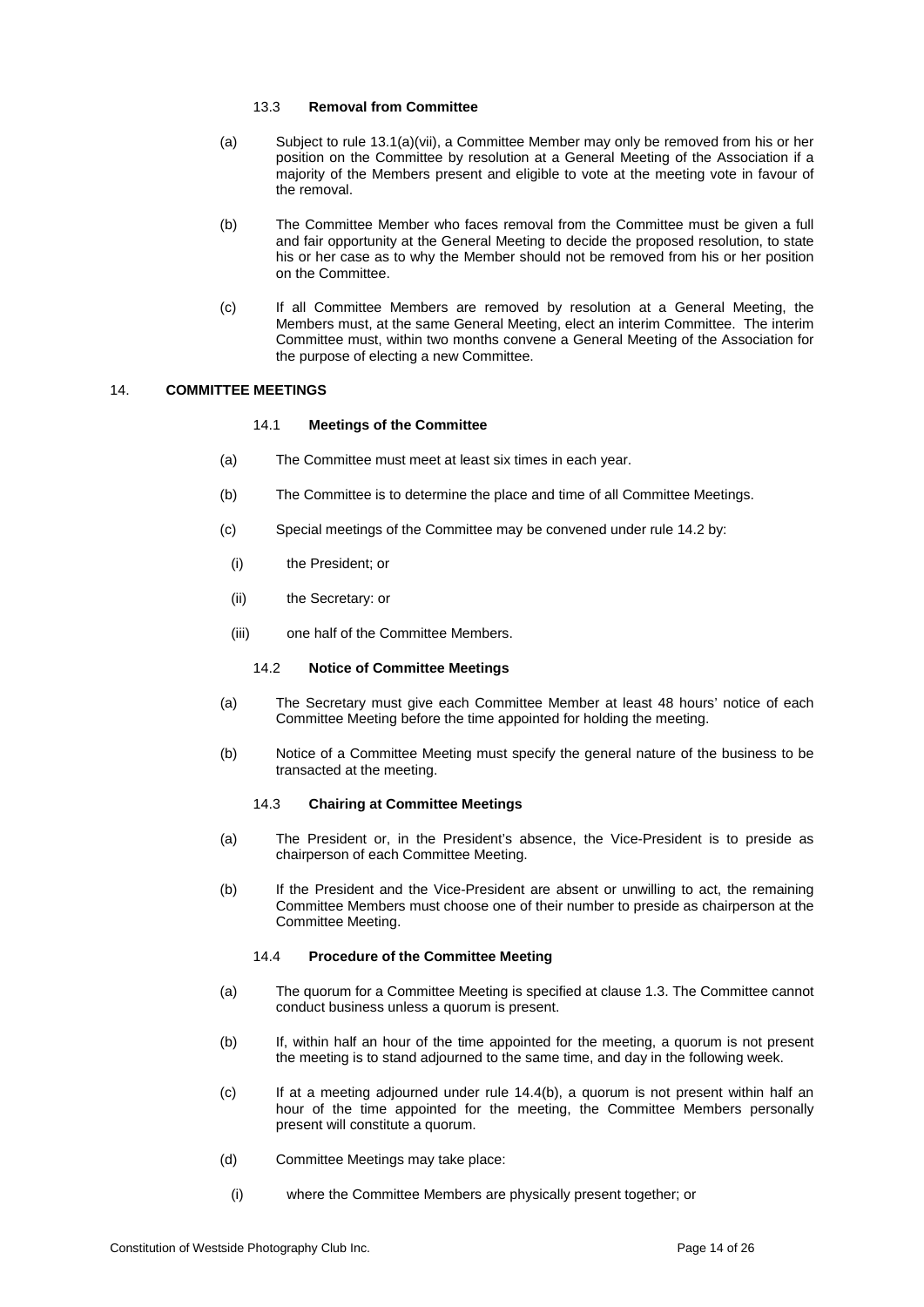# 13.3 **Removal from Committee**

- <span id="page-16-4"></span>(a) Subject to rule [13.1\(a\)\(vii\),](#page-15-6) a Committee Member may only be removed from his or her position on the Committee by resolution at a General Meeting of the Association if a majority of the Members present and eligible to vote at the meeting vote in favour of the removal.
- (b) The Committee Member who faces removal from the Committee must be given a full and fair opportunity at the General Meeting to decide the proposed resolution, to state his or her case as to why the Member should not be removed from his or her position on the Committee.
- (c) If all Committee Members are removed by resolution at a General Meeting, the Members must, at the same General Meeting, elect an interim Committee. The interim Committee must, within two months convene a General Meeting of the Association for the purpose of electing a new Committee.

# <span id="page-16-1"></span><span id="page-16-0"></span>14. **COMMITTEE MEETINGS**

# 14.1 **Meetings of the Committee**

- (a) The Committee must meet at least six times in each year.
- (b) The Committee is to determine the place and time of all Committee Meetings.
- <span id="page-16-2"></span>(c) Special meetings of the Committee may be convened under rul[e 14.2](#page-16-5) by:
- (i) the President; or
- (ii) the Secretary: or
- (iii) one half of the Committee Members.

### 14.2 **Notice of Committee Meetings**

- <span id="page-16-5"></span>(a) The Secretary must give each Committee Member at least 48 hours' notice of each Committee Meeting before the time appointed for holding the meeting.
- (b) Notice of a Committee Meeting must specify the general nature of the business to be transacted at the meeting.

### 14.3 **Chairing at Committee Meetings**

- <span id="page-16-3"></span>(a) The President or, in the President's absence, the Vice-President is to preside as chairperson of each Committee Meeting.
- (b) If the President and the Vice-President are absent or unwilling to act, the remaining Committee Members must choose one of their number to preside as chairperson at the Committee Meeting.

### 14.4 **Procedure of the Committee Meeting**

- (a) The quorum for a Committee Meeting is specified at clause 1.3. The Committee cannot conduct business unless a quorum is present.
- <span id="page-16-6"></span>(b) If, within half an hour of the time appointed for the meeting, a quorum is not present the meeting is to stand adjourned to the same time, and day in the following week.
- (c) If at a meeting adjourned under rule [14.4\(b\),](#page-16-6) a quorum is not present within half an hour of the time appointed for the meeting, the Committee Members personally present will constitute a quorum.
- (d) Committee Meetings may take place:
	- (i) where the Committee Members are physically present together; or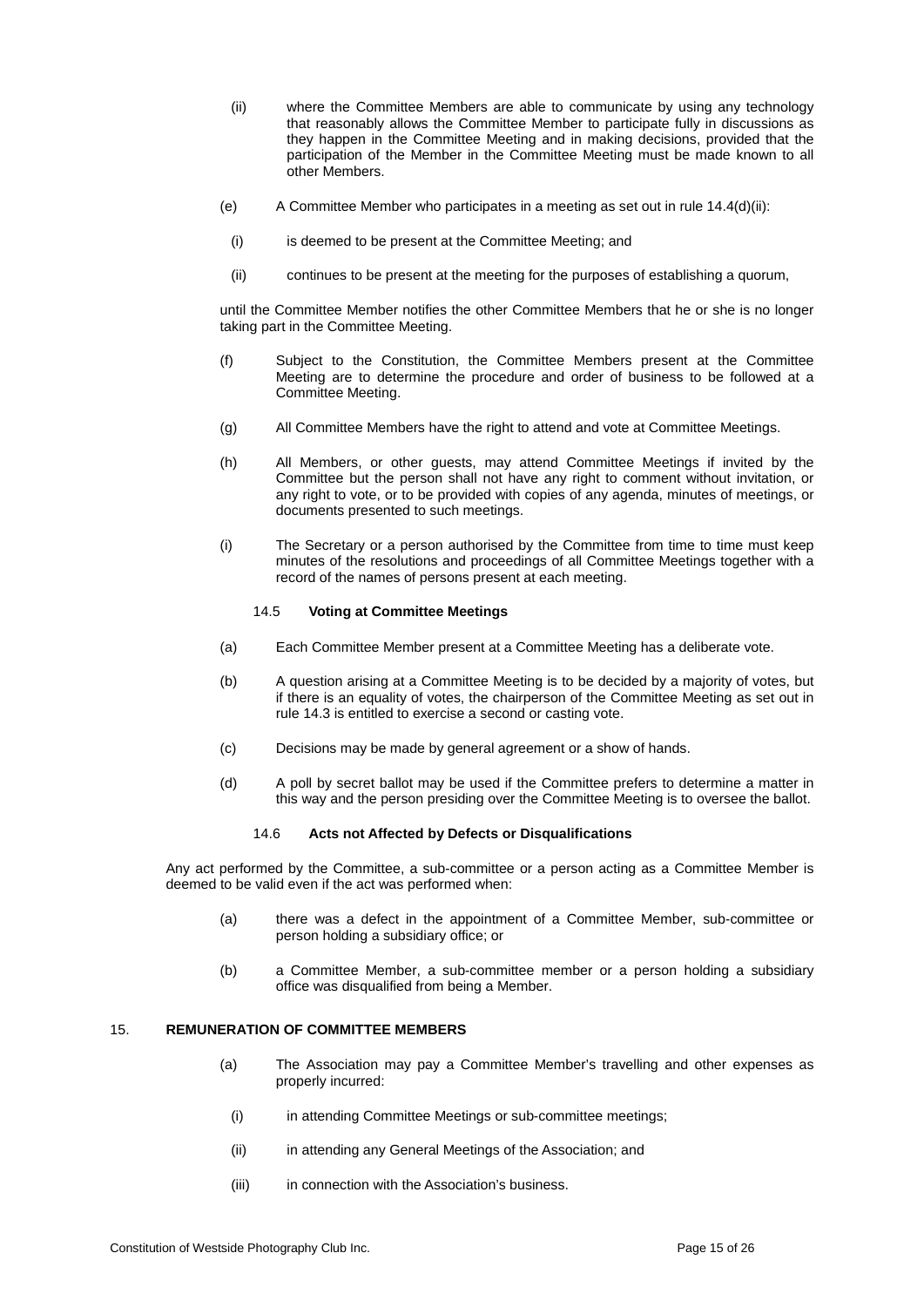- <span id="page-17-1"></span>(ii) where the Committee Members are able to communicate by using any technology that reasonably allows the Committee Member to participate fully in discussions as they happen in the Committee Meeting and in making decisions, provided that the participation of the Member in the Committee Meeting must be made known to all other Members.
- (e) A Committee Member who participates in a meeting as set out in rul[e 14.4\(d\)\(ii\):](#page-17-1)
	- (i) is deemed to be present at the Committee Meeting; and
	- (ii) continues to be present at the meeting for the purposes of establishing a quorum,

until the Committee Member notifies the other Committee Members that he or she is no longer taking part in the Committee Meeting.

- (f) Subject to the Constitution, the Committee Members present at the Committee Meeting are to determine the procedure and order of business to be followed at a Committee Meeting.
- (g) All Committee Members have the right to attend and vote at Committee Meetings.
- (h) All Members, or other guests, may attend Committee Meetings if invited by the Committee but the person shall not have any right to comment without invitation, or any right to vote, or to be provided with copies of any agenda, minutes of meetings, or documents presented to such meetings.
- (i) The Secretary or a person authorised by the Committee from time to time must keep minutes of the resolutions and proceedings of all Committee Meetings together with a record of the names of persons present at each meeting.

#### 14.5 **Voting at Committee Meetings**

- (a) Each Committee Member present at a Committee Meeting has a deliberate vote.
- (b) A question arising at a Committee Meeting is to be decided by a majority of votes, but if there is an equality of votes, the chairperson of the Committee Meeting as set out in rule [14.3](#page-16-3) is entitled to exercise a second or casting vote.
- (c) Decisions may be made by general agreement or a show of hands.
- (d) A poll by secret ballot may be used if the Committee prefers to determine a matter in this way and the person presiding over the Committee Meeting is to oversee the ballot.

#### 14.6 **Acts not Affected by Defects or Disqualifications**

Any act performed by the Committee, a sub-committee or a person acting as a Committee Member is deemed to be valid even if the act was performed when:

- (a) there was a defect in the appointment of a Committee Member, sub-committee or person holding a subsidiary office; or
- (b) a Committee Member, a sub-committee member or a person holding a subsidiary office was disqualified from being a Member.

# <span id="page-17-0"></span>15. **REMUNERATION OF COMMITTEE MEMBERS**

- (a) The Association may pay a Committee Member's travelling and other expenses as properly incurred:
	- (i) in attending Committee Meetings or sub-committee meetings;
	- (ii) in attending any General Meetings of the Association; and
	- (iii) in connection with the Association's business.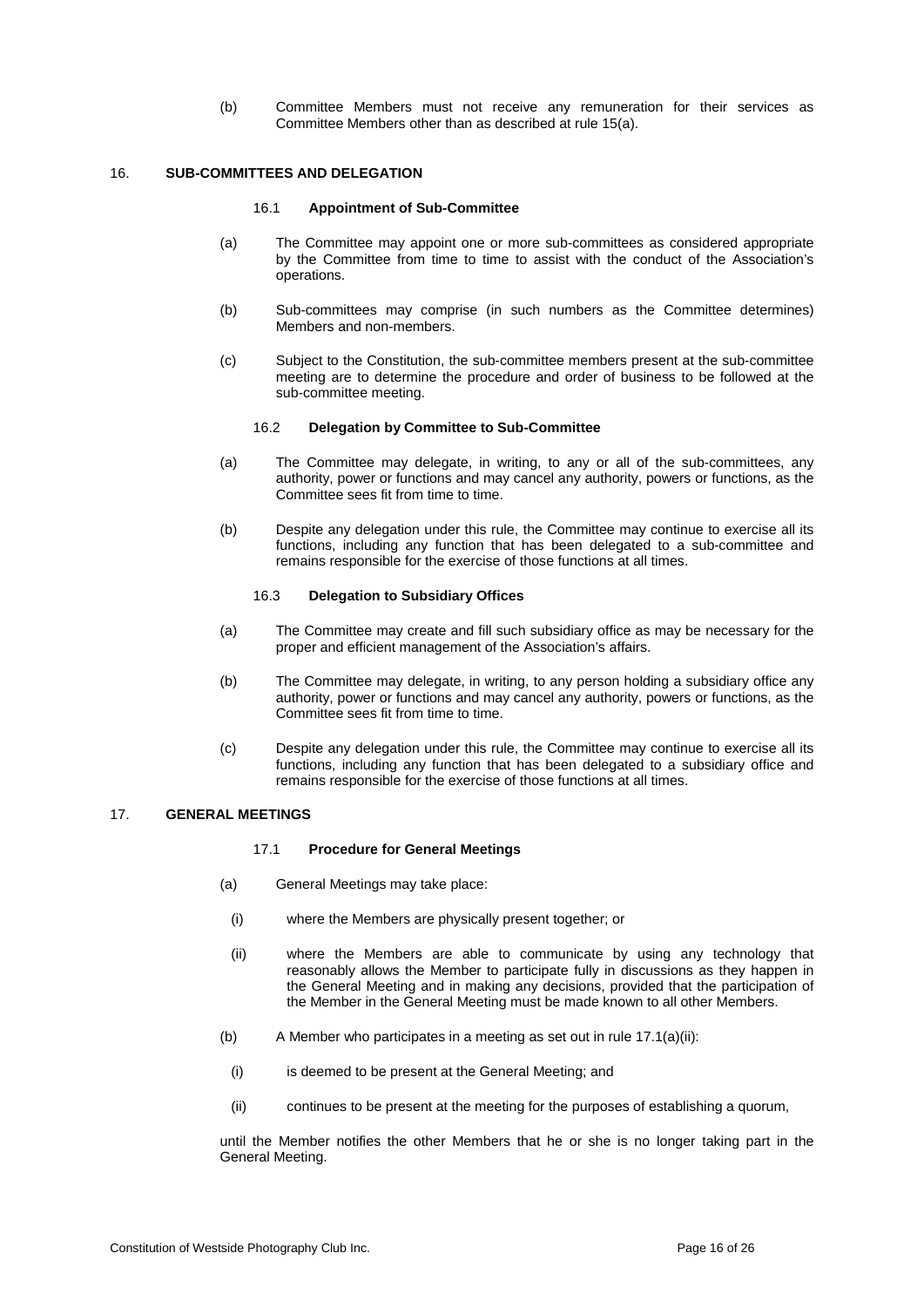(b) Committee Members must not receive any remuneration for their services as Committee Members other than as described at rule 15(a).

# <span id="page-18-0"></span>16. **SUB-COMMITTEES AND DELEGATION**

#### 16.1 **Appointment of Sub-Committee**

- (a) The Committee may appoint one or more sub-committees as considered appropriate by the Committee from time to time to assist with the conduct of the Association's operations.
- (b) Sub-committees may comprise (in such numbers as the Committee determines) Members and non-members.
- (c) Subject to the Constitution, the sub-committee members present at the sub-committee meeting are to determine the procedure and order of business to be followed at the sub-committee meeting.

#### 16.2 **Delegation by Committee to Sub-Committee**

- (a) The Committee may delegate, in writing, to any or all of the sub-committees, any authority, power or functions and may cancel any authority, powers or functions, as the Committee sees fit from time to time.
- (b) Despite any delegation under this rule, the Committee may continue to exercise all its functions, including any function that has been delegated to a sub-committee and remains responsible for the exercise of those functions at all times.

### 16.3 **Delegation to Subsidiary Offices**

- (a) The Committee may create and fill such subsidiary office as may be necessary for the proper and efficient management of the Association's affairs.
- (b) The Committee may delegate, in writing, to any person holding a subsidiary office any authority, power or functions and may cancel any authority, powers or functions, as the Committee sees fit from time to time.
- (c) Despite any delegation under this rule, the Committee may continue to exercise all its functions, including any function that has been delegated to a subsidiary office and remains responsible for the exercise of those functions at all times.

### <span id="page-18-3"></span><span id="page-18-1"></span>17. **GENERAL MEETINGS**

### 17.1 **Procedure for General Meetings**

- <span id="page-18-2"></span>(a) General Meetings may take place:
	- (i) where the Members are physically present together; or
	- (ii) where the Members are able to communicate by using any technology that reasonably allows the Member to participate fully in discussions as they happen in the General Meeting and in making any decisions, provided that the participation of the Member in the General Meeting must be made known to all other Members.
- (b) A Member who participates in a meeting as set out in rule  $17.1(a)(ii)$ :
	- (i) is deemed to be present at the General Meeting; and
	- (ii) continues to be present at the meeting for the purposes of establishing a quorum,

until the Member notifies the other Members that he or she is no longer taking part in the General Meeting.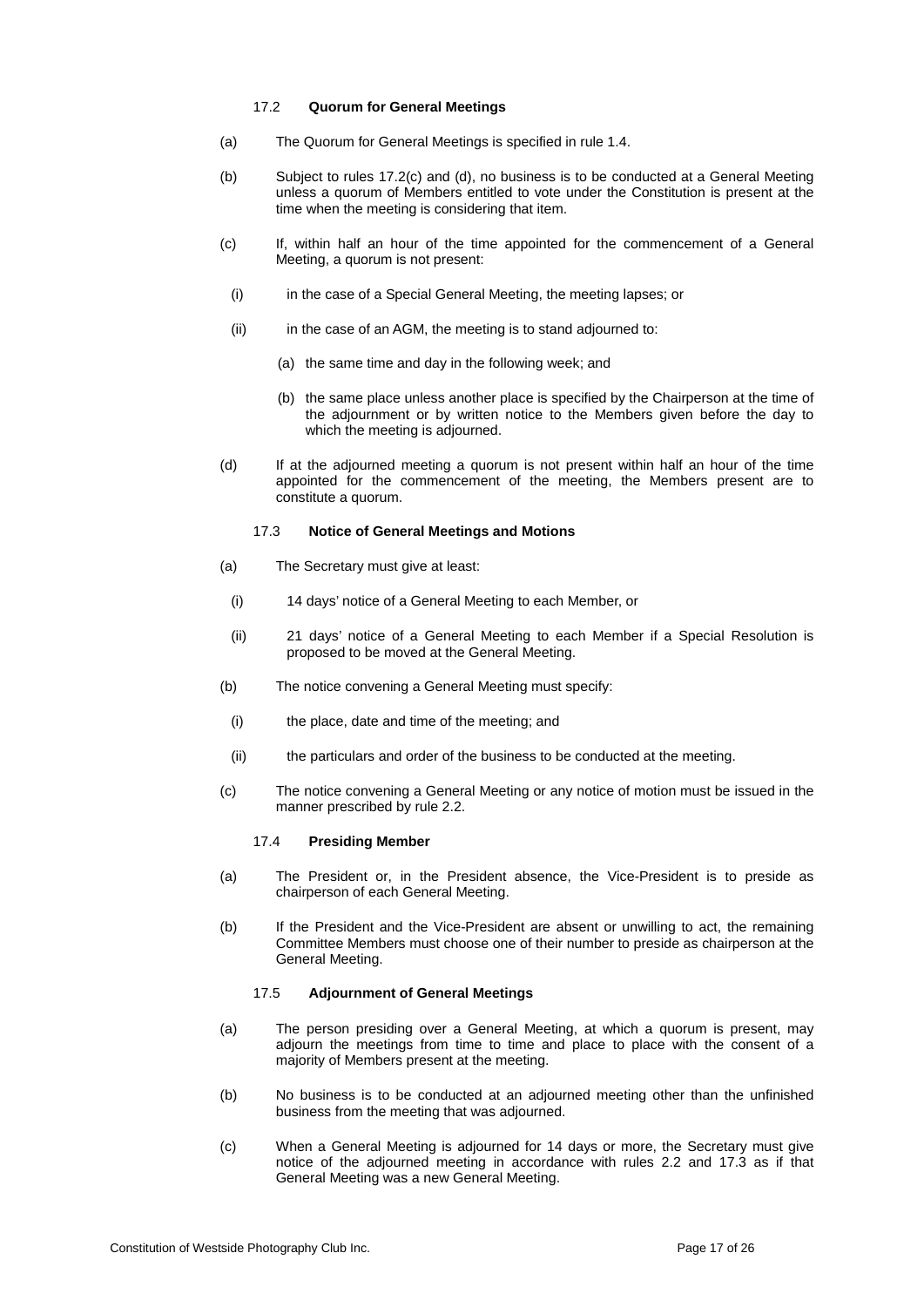### 17.2 **Quorum for General Meetings**

- (a) The Quorum for General Meetings is specified in rule 1.4.
- (b) Subject to rules 17.2(c) and (d), no business is to be conducted at a General Meeting unless a quorum of Members entitled to vote under the Constitution is present at the time when the meeting is considering that item.
- (c) If, within half an hour of the time appointed for the commencement of a General Meeting, a quorum is not present:
	- (i) in the case of a Special General Meeting, the meeting lapses; or
	- (ii) in the case of an AGM, the meeting is to stand adjourned to:
		- (a) the same time and day in the following week; and
		- (b) the same place unless another place is specified by the Chairperson at the time of the adjournment or by written notice to the Members given before the day to which the meeting is adjourned.
- (d) If at the adjourned meeting a quorum is not present within half an hour of the time appointed for the commencement of the meeting, the Members present are to constitute a quorum.

# 17.3 **Notice of General Meetings and Motions**

- (a) The Secretary must give at least:
- (i) 14 days' notice of a General Meeting to each Member, or
- (ii) 21 days' notice of a General Meeting to each Member if a Special Resolution is proposed to be moved at the General Meeting.
- (b) The notice convening a General Meeting must specify:
- (i) the place, date and time of the meeting; and
- (ii) the particulars and order of the business to be conducted at the meeting.
- (c) The notice convening a General Meeting or any notice of motion must be issued in the manner prescribed by rule 2.2.

### 17.4 **Presiding Member**

- <span id="page-19-0"></span>(a) The President or, in the President absence, the Vice-President is to preside as chairperson of each General Meeting.
- (b) If the President and the Vice-President are absent or unwilling to act, the remaining Committee Members must choose one of their number to preside as chairperson at the General Meeting.

# 17.5 **Adjournment of General Meetings**

- (a) The person presiding over a General Meeting, at which a quorum is present, may adjourn the meetings from time to time and place to place with the consent of a majority of Members present at the meeting.
- (b) No business is to be conducted at an adjourned meeting other than the unfinished business from the meeting that was adjourned.
- (c) When a General Meeting is adjourned for 14 days or more, the Secretary must give notice of the adjourned meeting in accordance with rules 2.2 and [17.3](#page-18-3) as if that General Meeting was a new General Meeting.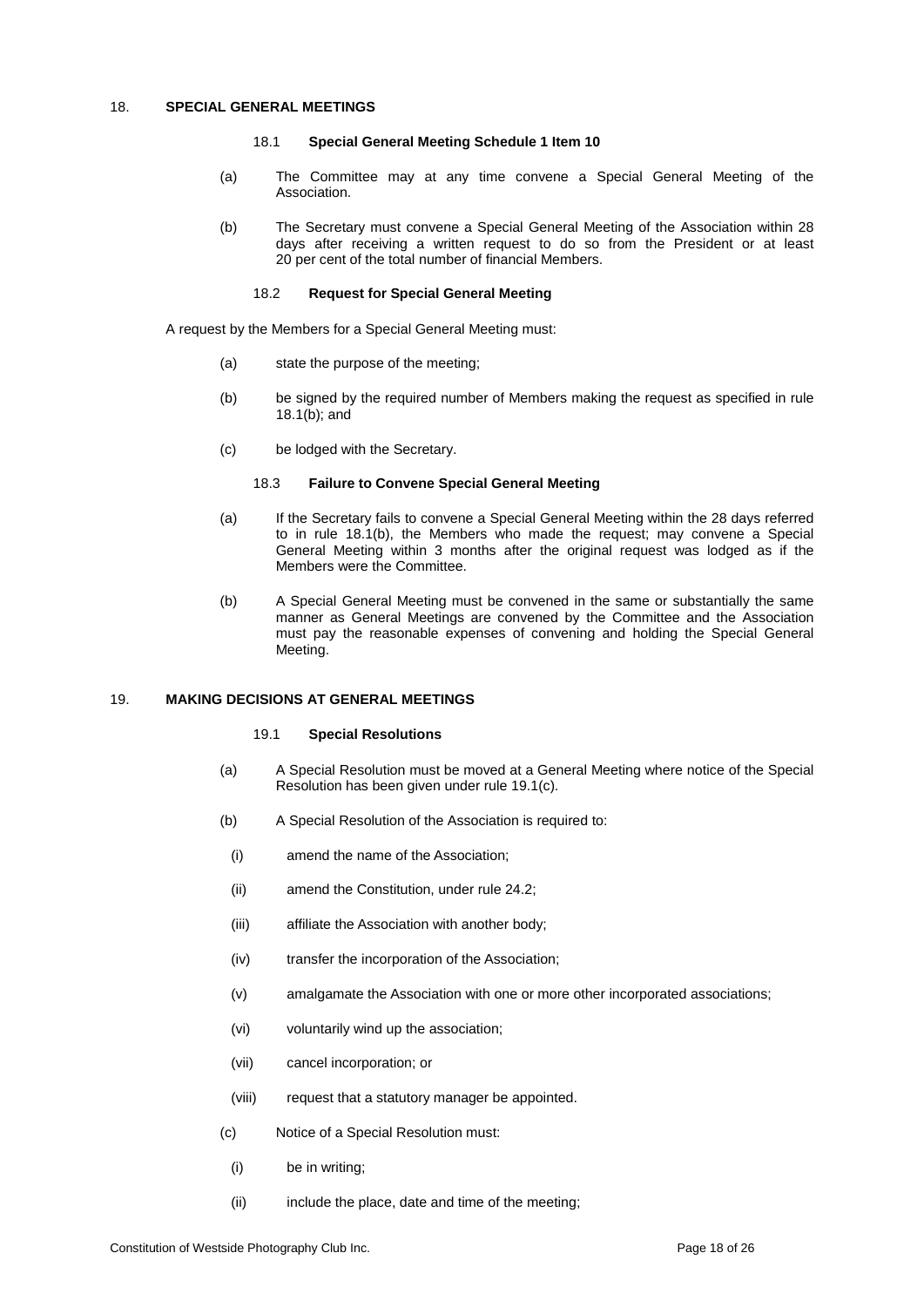# <span id="page-20-0"></span>18. **SPECIAL GENERAL MEETINGS**

#### 18.1 **Special General Meeting Schedule 1 Item 10**

- (a) The Committee may at any time convene a Special General Meeting of the Association.
- <span id="page-20-2"></span>(b) The Secretary must convene a Special General Meeting of the Association within 28 days after receiving a written request to do so from the President or at least 20 per cent of the total number of financial Members.

# 18.2 **Request for Special General Meeting**

A request by the Members for a Special General Meeting must:

- (a) state the purpose of the meeting;
- (b) be signed by the required number of Members making the request as specified in rule [18.1\(b\);](#page-20-2) and
- (c) be lodged with the Secretary.

# 18.3 **Failure to Convene Special General Meeting**

- (a) If the Secretary fails to convene a Special General Meeting within the 28 days referred to in rule [18.1\(b\),](#page-20-2) the Members who made the request; may convene a Special General Meeting within 3 months after the original request was lodged as if the Members were the Committee.
- (b) A Special General Meeting must be convened in the same or substantially the same manner as General Meetings are convened by the Committee and the Association must pay the reasonable expenses of convening and holding the Special General Meeting.

# <span id="page-20-1"></span>19. **MAKING DECISIONS AT GENERAL MEETINGS**

### 19.1 **Special Resolutions**

- (a) A Special Resolution must be moved at a General Meeting where notice of the Special Resolution has been given under rule [19.1\(c\).](#page-20-3)
- (b) A Special Resolution of the Association is required to:
	- (i) amend the name of the Association;
	- (ii) amend the Constitution, under rul[e 24.2;](#page-25-2)
	- (iii) affiliate the Association with another body;
	- (iv) transfer the incorporation of the Association;
	- (v) amalgamate the Association with one or more other incorporated associations;
	- (vi) voluntarily wind up the association;
	- (vii) cancel incorporation; or
- (viii) request that a statutory manager be appointed.
- <span id="page-20-3"></span>(c) Notice of a Special Resolution must:
	- (i) be in writing;
	- (ii) include the place, date and time of the meeting;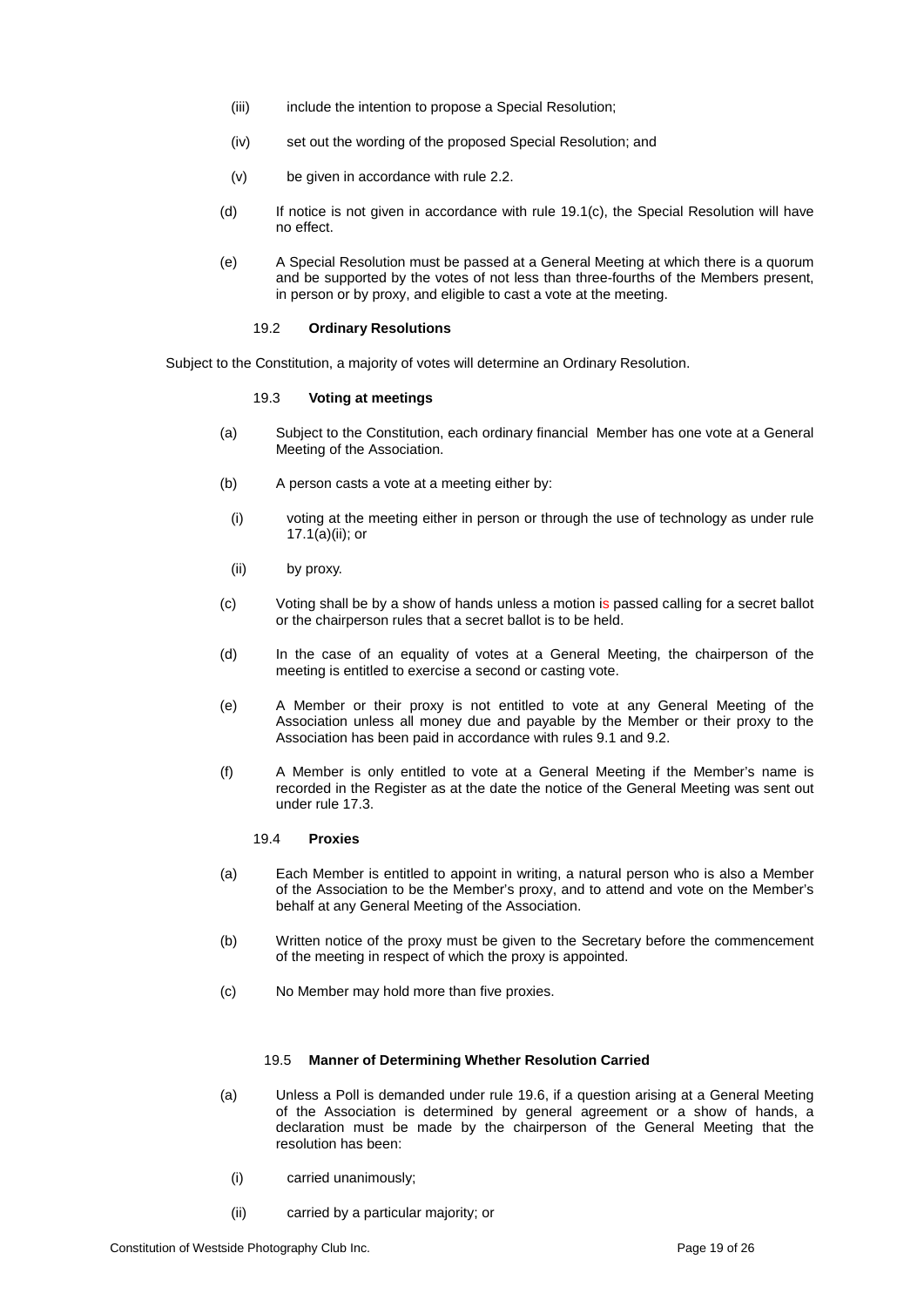- (iii) include the intention to propose a Special Resolution;
- (iv) set out the wording of the proposed Special Resolution; and
- (v) be given in accordance with rule 2.2.
- (d) If notice is not given in accordance with rule [19.1\(c\),](#page-20-3) the Special Resolution will have no effect.
- (e) A Special Resolution must be passed at a General Meeting at which there is a quorum and be supported by the votes of not less than three-fourths of the Members present, in person or by proxy, and eligible to cast a vote at the meeting.

# 19.2 **Ordinary Resolutions**

Subject to the Constitution, a majority of votes will determine an Ordinary Resolution.

# 19.3 **Voting at meetings**

- (a) Subject to the Constitution, each ordinary financial Member has one vote at a General Meeting of the Association.
- (b) A person casts a vote at a meeting either by:
	- (i) voting at the meeting either in person or through the use of technology as under rule [17.1\(a\)\(ii\);](#page-18-2) or
- (ii) by proxy.
- (c) Voting shall be by a show of hands unless a motion is passed calling for a secret ballot or the chairperson rules that a secret ballot is to be held.
- (d) In the case of an equality of votes at a General Meeting, the chairperson of the meeting is entitled to exercise a second or casting vote.
- (e) A Member or their proxy is not entitled to vote at any General Meeting of the Association unless all money due and payable by the Member or their proxy to the Association has been paid in accordance with rule[s 9.1](#page-9-2) and [9.2.](#page-9-3)
- <span id="page-21-0"></span>(f) A Member is only entitled to vote at a General Meeting if the Member's name is recorded in the Register as at the date the notice of the General Meeting was sent out under rule 17.3.

# 19.4 **Proxies**

- (a) Each Member is entitled to appoint in writing, a natural person who is also a Member of the Association to be the Member's proxy, and to attend and vote on the Member's behalf at any General Meeting of the Association.
- (b) Written notice of the proxy must be given to the Secretary before the commencement of the meeting in respect of which the proxy is appointed.
- (c) No Member may hold more than five proxies.

# 19.5 **Manner of Determining Whether Resolution Carried**

- <span id="page-21-1"></span>(a) Unless a Poll is demanded under rule [19.6,](#page-22-2) if a question arising at a General Meeting of the Association is determined by general agreement or a show of hands, a declaration must be made by the chairperson of the General Meeting that the resolution has been:
	- (i) carried unanimously;
	- (ii) carried by a particular majority; or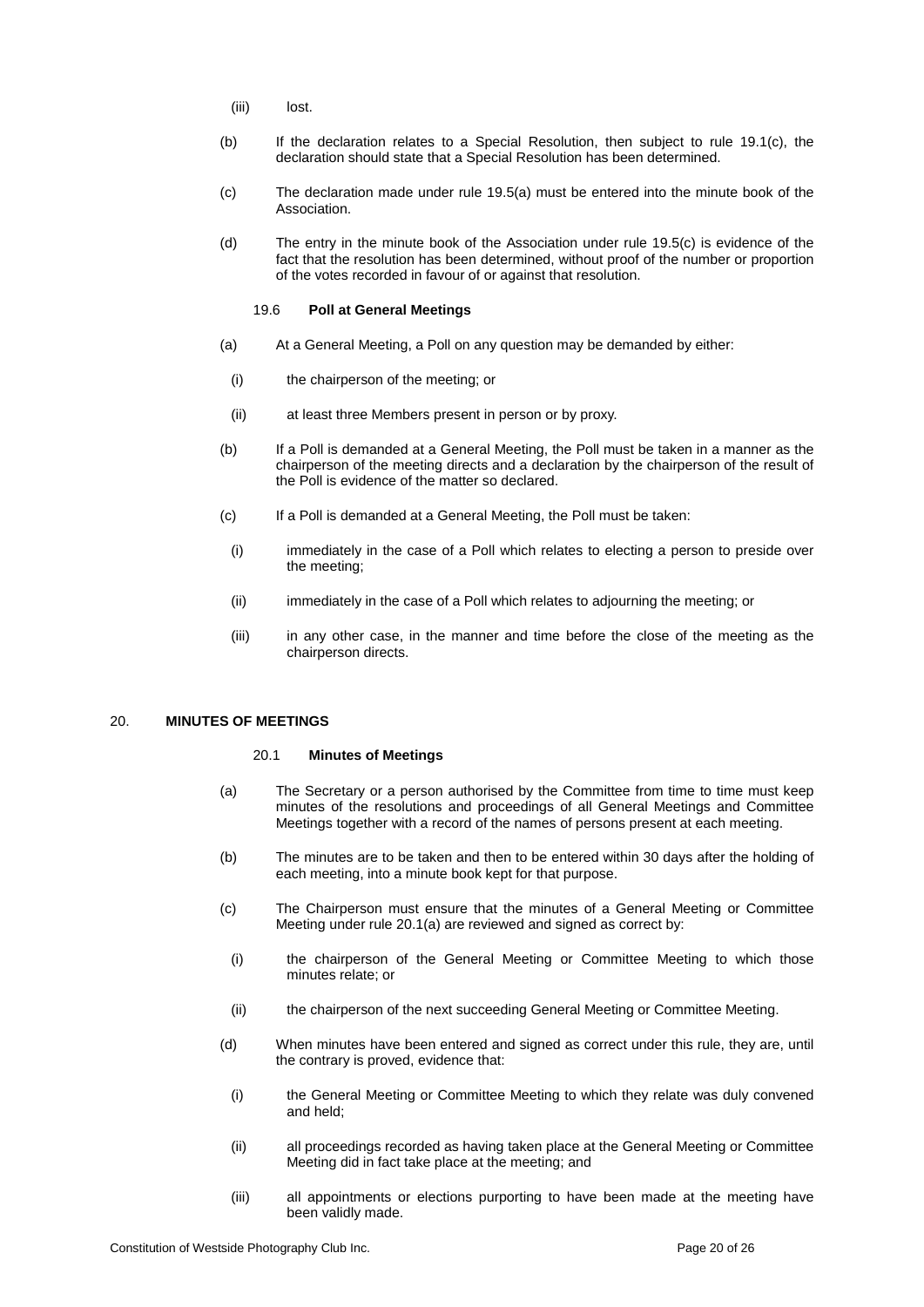- (iii) lost.
- (b) If the declaration relates to a Special Resolution, then subject to rule 19.1(c), the declaration should state that a Special Resolution has been determined.
- <span id="page-22-3"></span>(c) The declaration made under rule [19.5\(a\)](#page-21-1) must be entered into the minute book of the Association.
- (d) The entry in the minute book of the Association under rule [19.5\(c\)](#page-22-3) is evidence of the fact that the resolution has been determined, without proof of the number or proportion of the votes recorded in favour of or against that resolution.

#### 19.6 **Poll at General Meetings**

- <span id="page-22-2"></span>(a) At a General Meeting, a Poll on any question may be demanded by either:
	- (i) the chairperson of the meeting; or
	- (ii) at least three Members present in person or by proxy.
- (b) If a Poll is demanded at a General Meeting, the Poll must be taken in a manner as the chairperson of the meeting directs and a declaration by the chairperson of the result of the Poll is evidence of the matter so declared.
- (c) If a Poll is demanded at a General Meeting, the Poll must be taken:
- (i) immediately in the case of a Poll which relates to electing a person to preside over the meeting;
- (ii) immediately in the case of a Poll which relates to adjourning the meeting; or
- (iii) in any other case, in the manner and time before the close of the meeting as the chairperson directs.

# <span id="page-22-4"></span><span id="page-22-0"></span>20. **MINUTES OF MEETINGS**

#### 20.1 **Minutes of Meetings**

- (a) The Secretary or a person authorised by the Committee from time to time must keep minutes of the resolutions and proceedings of all General Meetings and Committee Meetings together with a record of the names of persons present at each meeting.
- (b) The minutes are to be taken and then to be entered within 30 days after the holding of each meeting, into a minute book kept for that purpose.
- <span id="page-22-1"></span>(c) The Chairperson must ensure that the minutes of a General Meeting or Committee Meeting under rule [20.1\(a\)](#page-22-4) are reviewed and signed as correct by:
	- (i) the chairperson of the General Meeting or Committee Meeting to which those minutes relate; or
	- (ii) the chairperson of the next succeeding General Meeting or Committee Meeting.
- (d) When minutes have been entered and signed as correct under this rule, they are, until the contrary is proved, evidence that:
	- (i) the General Meeting or Committee Meeting to which they relate was duly convened and held;
	- (ii) all proceedings recorded as having taken place at the General Meeting or Committee Meeting did in fact take place at the meeting; and
	- (iii) all appointments or elections purporting to have been made at the meeting have been validly made.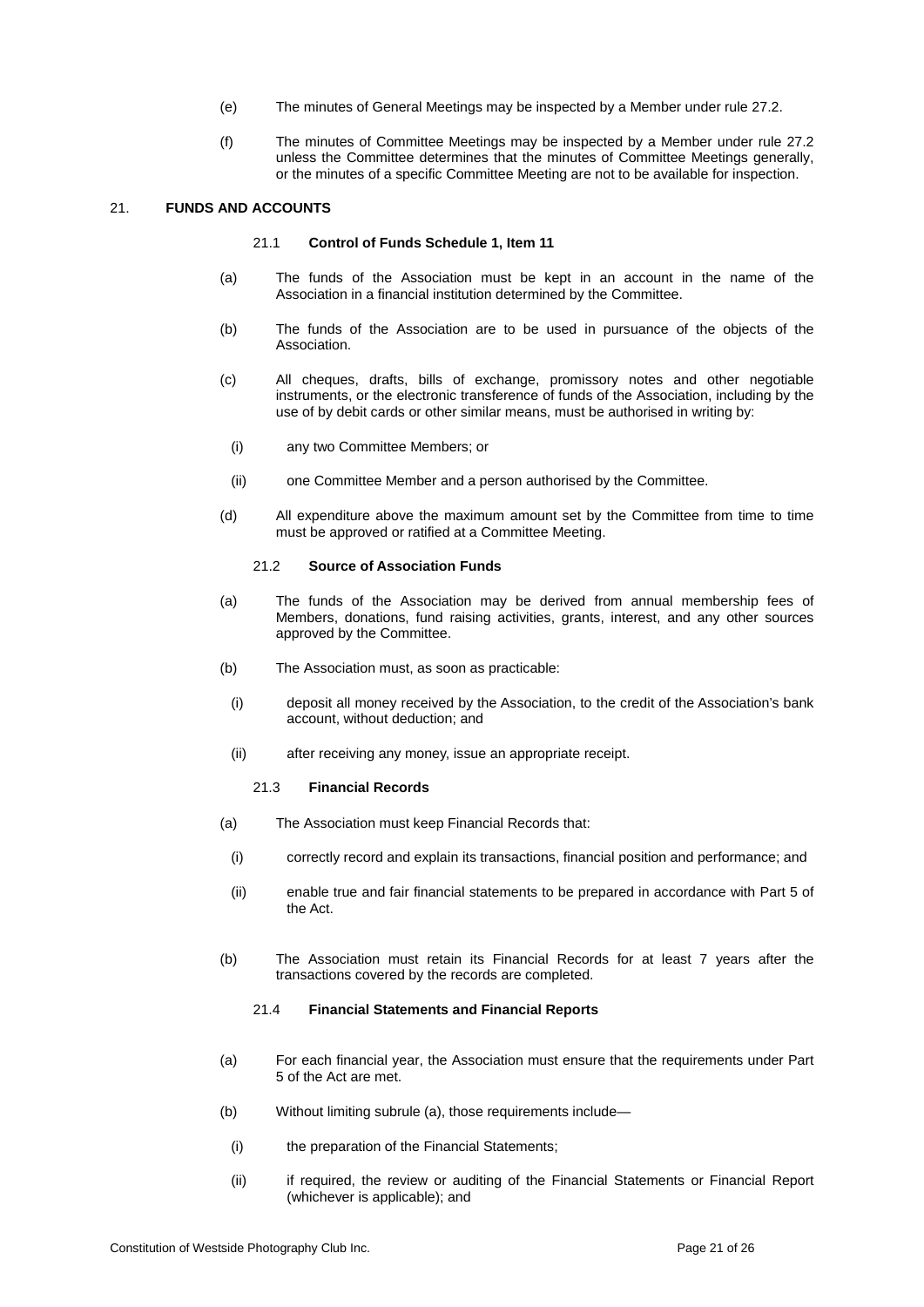- (e) The minutes of General Meetings may be inspected by a Member under rule 27.2.
- (f) The minutes of Committee Meetings may be inspected by a Member under rule 27.2 unless the Committee determines that the minutes of Committee Meetings generally, or the minutes of a specific Committee Meeting are not to be available for inspection.

# <span id="page-23-0"></span>21. **FUNDS AND ACCOUNTS**

#### 21.1 **Control of Funds Schedule 1, Item 11**

- (a) The funds of the Association must be kept in an account in the name of the Association in a financial institution determined by the Committee.
- (b) The funds of the Association are to be used in pursuance of the objects of the Association.
- (c) All cheques, drafts, bills of exchange, promissory notes and other negotiable instruments, or the electronic transference of funds of the Association, including by the use of by debit cards or other similar means, must be authorised in writing by:
	- (i) any two Committee Members; or
- (ii) one Committee Member and a person authorised by the Committee.
- (d) All expenditure above the maximum amount set by the Committee from time to time must be approved or ratified at a Committee Meeting.

#### 21.2 **Source of Association Funds**

- (a) The funds of the Association may be derived from annual membership fees of Members, donations, fund raising activities, grants, interest, and any other sources approved by the Committee.
- (b) The Association must, as soon as practicable:
- (i) deposit all money received by the Association, to the credit of the Association's bank account, without deduction; and
- (ii) after receiving any money, issue an appropriate receipt.

#### 21.3 **Financial Records**

- (a) The Association must keep Financial Records that:
- (i) correctly record and explain its transactions, financial position and performance; and
- (ii) enable true and fair financial statements to be prepared in accordance with Part 5 of the Act.
- (b) The Association must retain its Financial Records for at least 7 years after the transactions covered by the records are completed.

#### 21.4 **Financial Statements and Financial Reports**

- (a) For each financial year, the Association must ensure that the requirements under Part 5 of the Act are met.
- (b) Without limiting subrule (a), those requirements include—
	- (i) the preparation of the Financial Statements;
	- (ii) if required, the review or auditing of the Financial Statements or Financial Report (whichever is applicable); and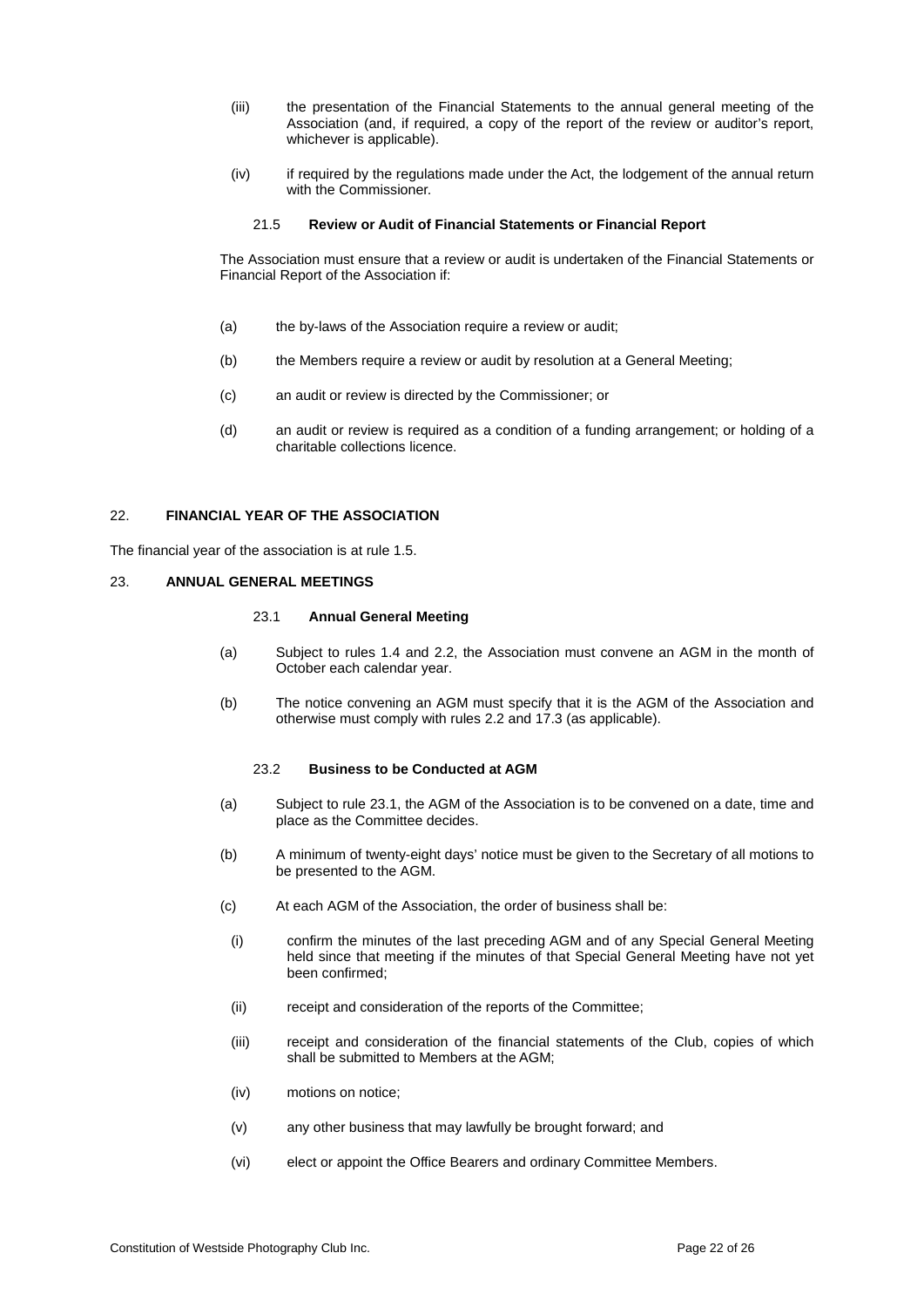- (iii) the presentation of the Financial Statements to the annual general meeting of the Association (and, if required, a copy of the report of the review or auditor's report, whichever is applicable).
- (iv) if required by the regulations made under the Act, the lodgement of the annual return with the Commissioner.

# 21.5 **Review or Audit of Financial Statements or Financial Report**

The Association must ensure that a review or audit is undertaken of the Financial Statements or Financial Report of the Association if:

- (a) the by-laws of the Association require a review or audit;
- (b) the Members require a review or audit by resolution at a General Meeting;
- (c) an audit or review is directed by the Commissioner; or
- (d) an audit or review is required as a condition of a funding arrangement; or holding of a charitable collections licence.

### <span id="page-24-0"></span>22. **FINANCIAL YEAR OF THE ASSOCIATION**

The financial year of the association is at rule 1.5.

### <span id="page-24-2"></span><span id="page-24-1"></span>23. **ANNUAL GENERAL MEETINGS**

#### 23.1 **Annual General Meeting**

- (a) Subject to rules 1.4 and 2.2, the Association must convene an AGM in the month of October each calendar year.
- (b) The notice convening an AGM must specify that it is the AGM of the Association and otherwise must comply with rules 2.2 and 17.3 (as applicable).

# 23.2 **Business to be Conducted at AGM**

- (a) Subject to rule [23.1,](#page-24-2) the AGM of the Association is to be convened on a date, time and place as the Committee decides.
- (b) A minimum of twenty-eight days' notice must be given to the Secretary of all motions to be presented to the AGM.
- (c) At each AGM of the Association, the order of business shall be:
	- (i) confirm the minutes of the last preceding AGM and of any Special General Meeting held since that meeting if the minutes of that Special General Meeting have not yet been confirmed;
	- (ii) receipt and consideration of the reports of the Committee;
	- (iii) receipt and consideration of the financial statements of the Club, copies of which shall be submitted to Members at the AGM;
	- (iv) motions on notice;
	- (v) any other business that may lawfully be brought forward; and
	- (vi) elect or appoint the Office Bearers and ordinary Committee Members.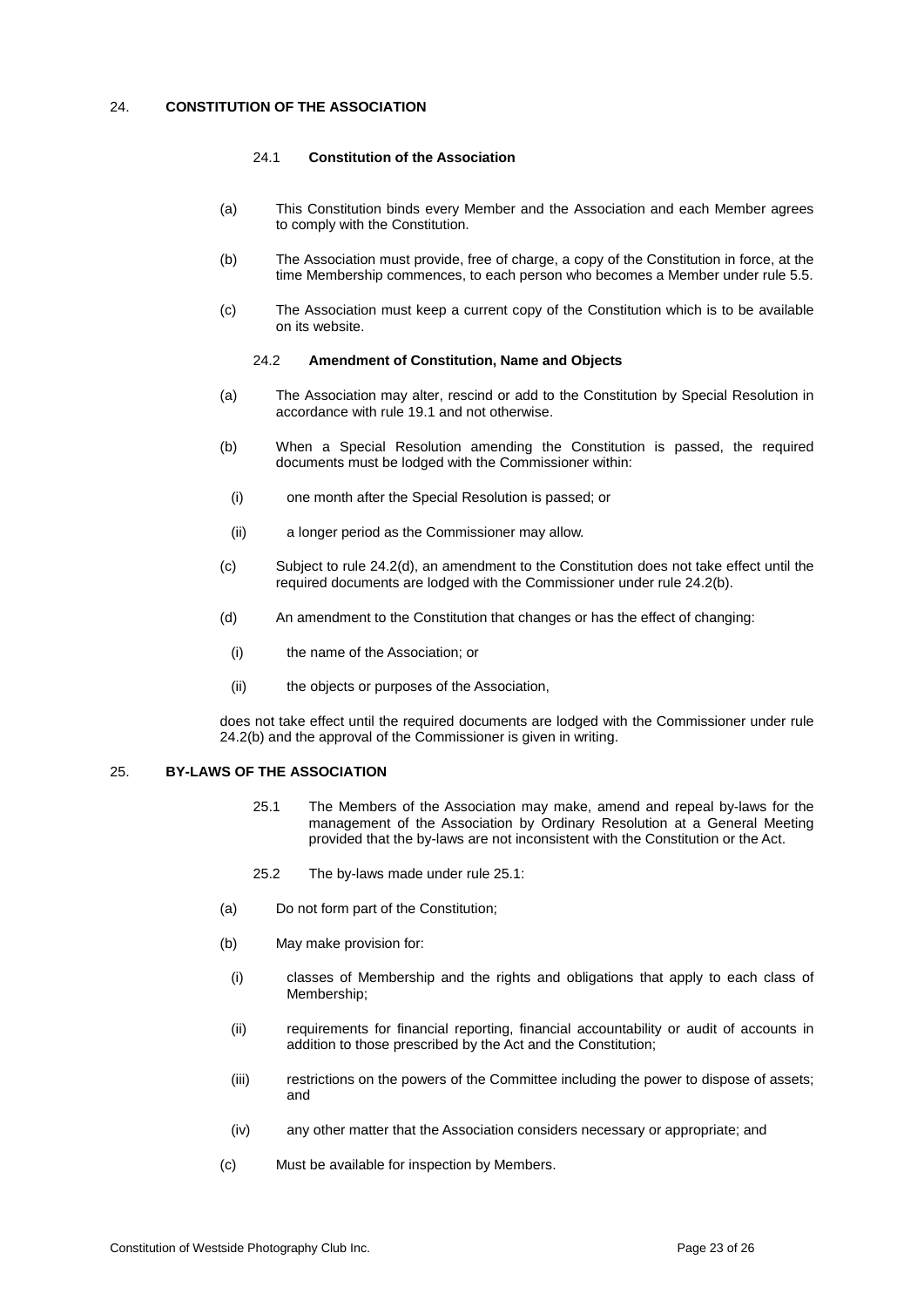# <span id="page-25-0"></span>24. **CONSTITUTION OF THE ASSOCIATION**

# 24.1 **Constitution of the Association**

- (a) This Constitution binds every Member and the Association and each Member agrees to comply with the Constitution.
- (b) The Association must provide, free of charge, a copy of the Constitution in force, at the time Membership commences, to each person who becomes a Member under rule 5.5.
- (c) The Association must keep a current copy of the Constitution which is to be available on its website.

#### 24.2 **Amendment of Constitution, Name and Objects**

- <span id="page-25-2"></span>(a) The Association may alter, rescind or add to the Constitution by Special Resolution in accordance with rule 19.1 and not otherwise.
- (b) When a Special Resolution amending the Constitution is passed, the required documents must be lodged with the Commissioner within:
	- (i) one month after the Special Resolution is passed; or
	- (ii) a longer period as the Commissioner may allow.
- (c) Subject to rule 24.2(d), an amendment to the Constitution does not take effect until the required documents are lodged with the Commissioner under rule 24.2(b).
- (d) An amendment to the Constitution that changes or has the effect of changing:
- (i) the name of the Association; or
- (ii) the objects or purposes of the Association,

does not take effect until the required documents are lodged with the Commissioner under rule 24.2(b) and the approval of the Commissioner is given in writing.

#### <span id="page-25-1"></span>25. **BY-LAWS OF THE ASSOCIATION**

- 25.1 The Members of the Association may make, amend and repeal by-laws for the management of the Association by Ordinary Resolution at a General Meeting provided that the by-laws are not inconsistent with the Constitution or the Act.
- 25.2 The by-laws made under rule 25.1:
- (a) Do not form part of the Constitution;
- (b) May make provision for:
	- (i) classes of Membership and the rights and obligations that apply to each class of Membership;
	- (ii) requirements for financial reporting, financial accountability or audit of accounts in addition to those prescribed by the Act and the Constitution;
	- (iii) restrictions on the powers of the Committee including the power to dispose of assets; and
	- (iv) any other matter that the Association considers necessary or appropriate; and
- (c) Must be available for inspection by Members.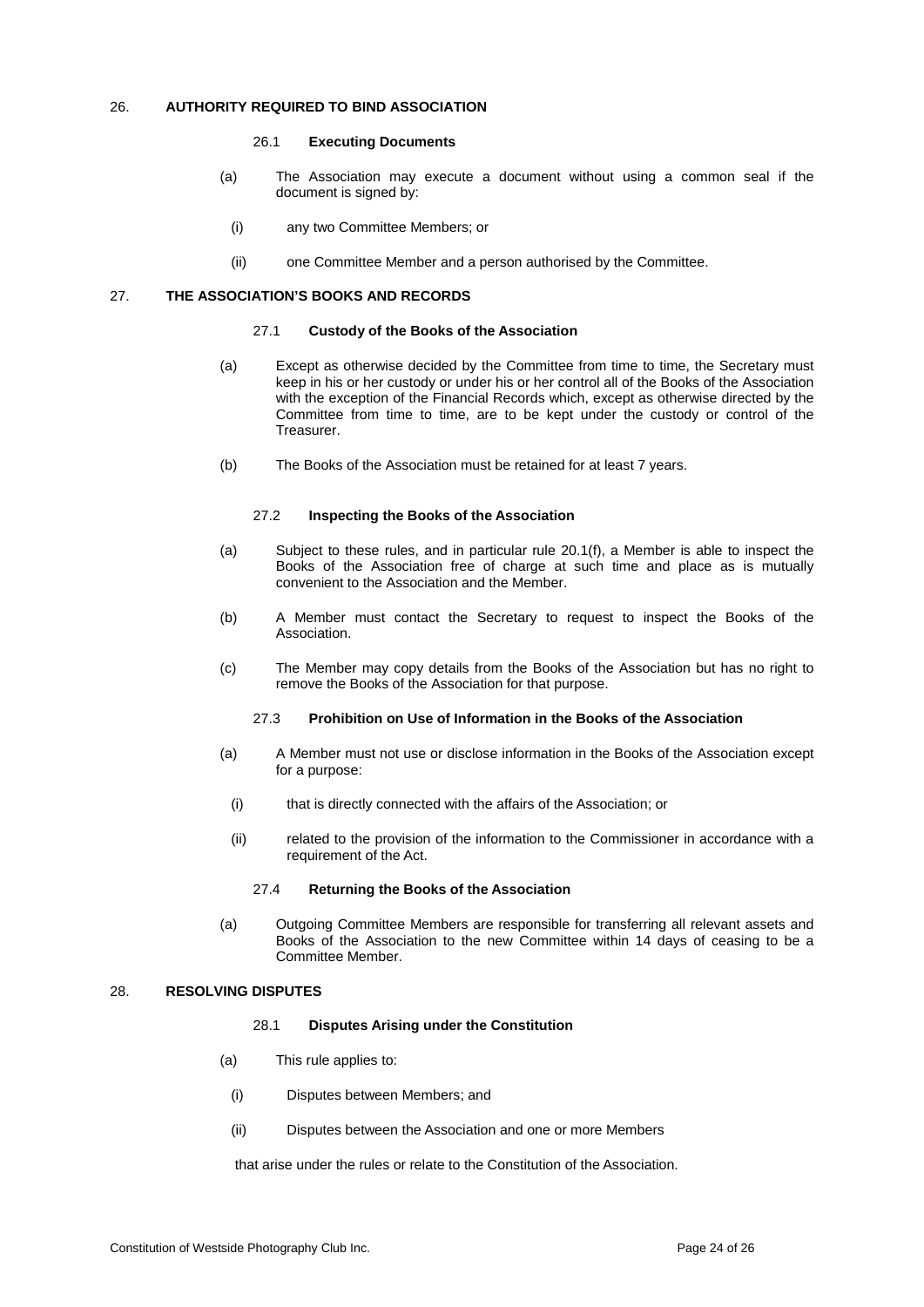# <span id="page-26-0"></span>26. **AUTHORITY REQUIRED TO BIND ASSOCIATION**

#### 26.1 **Executing Documents**

- (a) The Association may execute a document without using a common seal if the document is signed by:
	- (i) any two Committee Members; or
	- (ii) one Committee Member and a person authorised by the Committee.

# <span id="page-26-3"></span><span id="page-26-1"></span>27. **THE ASSOCIATION'S BOOKS AND RECORDS**

# 27.1 **Custody of the Books of the Association**

- (a) Except as otherwise decided by the Committee from time to time, the Secretary must keep in his or her custody or under his or her control all of the Books of the Association with the exception of the Financial Records which, except as otherwise directed by the Committee from time to time, are to be kept under the custody or control of the Treasurer.
- (b) The Books of the Association must be retained for at least 7 years.

# 27.2 **Inspecting the Books of the Association**

- (a) Subject to these rules, and in particular rule 20.1(f), a Member is able to inspect the Books of the Association free of charge at such time and place as is mutually convenient to the Association and the Member.
- (b) A Member must contact the Secretary to request to inspect the Books of the Association.
- (c) The Member may copy details from the Books of the Association but has no right to remove the Books of the Association for that purpose.

### 27.3 **Prohibition on Use of Information in the Books of the Association**

- (a) A Member must not use or disclose information in the Books of the Association except for a purpose:
- (i) that is directly connected with the affairs of the Association; or
- (ii) related to the provision of the information to the Commissioner in accordance with a requirement of the Act.

### 27.4 **Returning the Books of the Association**

(a) Outgoing Committee Members are responsible for transferring all relevant assets and Books of the Association to the new Committee within 14 days of ceasing to be a Committee Member.

### <span id="page-26-2"></span>28. **RESOLVING DISPUTES**

# 28.1 **Disputes Arising under the Constitution**

- (a) This rule applies to:
	- (i) Disputes between Members; and
	- (ii) Disputes between the Association and one or more Members

that arise under the rules or relate to the Constitution of the Association.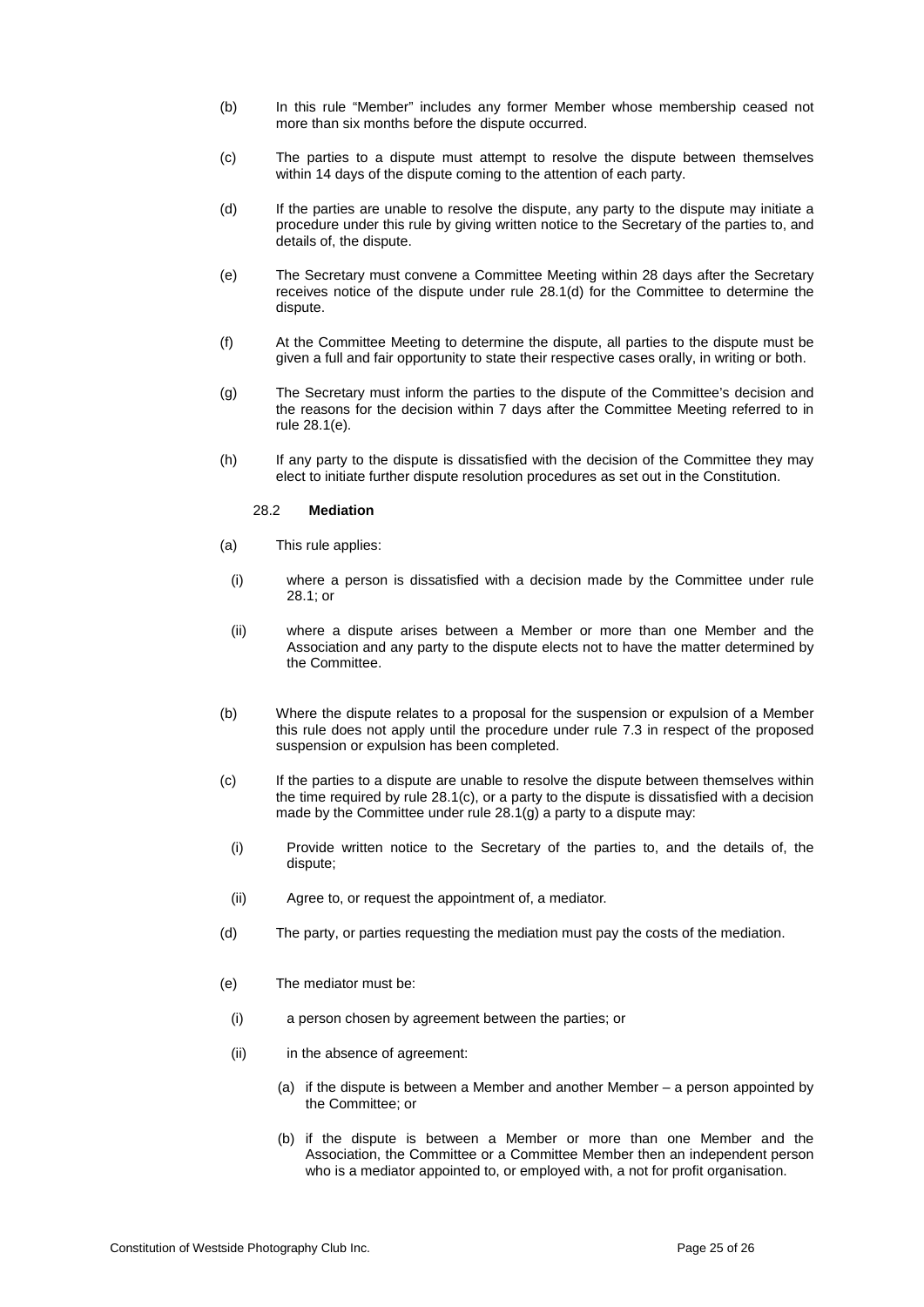- (b) In this rule "Member" includes any former Member whose membership ceased not more than six months before the dispute occurred.
- (c) The parties to a dispute must attempt to resolve the dispute between themselves within 14 days of the dispute coming to the attention of each party.
- (d) If the parties are unable to resolve the dispute, any party to the dispute may initiate a procedure under this rule by giving written notice to the Secretary of the parties to, and details of, the dispute.
- (e) The Secretary must convene a Committee Meeting within 28 days after the Secretary receives notice of the dispute under rule 28.1(d) for the Committee to determine the dispute.
- (f) At the Committee Meeting to determine the dispute, all parties to the dispute must be given a full and fair opportunity to state their respective cases orally, in writing or both.
- (g) The Secretary must inform the parties to the dispute of the Committee's decision and the reasons for the decision within 7 days after the Committee Meeting referred to in rule 28.1(e).
- (h) If any party to the dispute is dissatisfied with the decision of the Committee they may elect to initiate further dispute resolution procedures as set out in the Constitution.

#### 28.2 **Mediation**

- (a) This rule applies:
	- (i) where a person is dissatisfied with a decision made by the Committee under rule 28.1; or
	- (ii) where a dispute arises between a Member or more than one Member and the Association and any party to the dispute elects not to have the matter determined by the Committee.
- (b) Where the dispute relates to a proposal for the suspension or expulsion of a Member this rule does not apply until the procedure under rule 7.3 in respect of the proposed suspension or expulsion has been completed.
- (c) If the parties to a dispute are unable to resolve the dispute between themselves within the time required by rule 28.1(c), or a party to the dispute is dissatisfied with a decision made by the Committee under rule 28.1(g) a party to a dispute may:
- (i) Provide written notice to the Secretary of the parties to, and the details of, the dispute;
- (ii) Agree to, or request the appointment of, a mediator.
- (d) The party, or parties requesting the mediation must pay the costs of the mediation.
- (e) The mediator must be:
	- (i) a person chosen by agreement between the parties; or
	- (ii) in the absence of agreement:
		- (a) if the dispute is between a Member and another Member a person appointed by the Committee; or
		- (b) if the dispute is between a Member or more than one Member and the Association, the Committee or a Committee Member then an independent person who is a mediator appointed to, or employed with, a not for profit organisation.